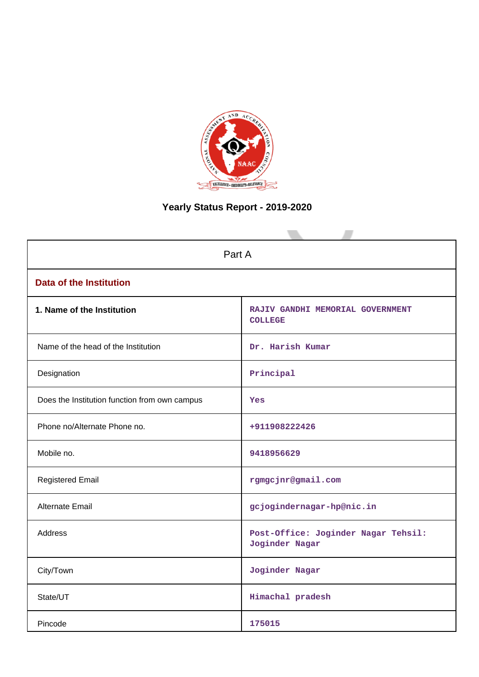

# **Yearly Status Report - 2019-2020**

| Part A                                        |                                                       |  |  |  |
|-----------------------------------------------|-------------------------------------------------------|--|--|--|
| <b>Data of the Institution</b>                |                                                       |  |  |  |
| 1. Name of the Institution                    | RAJIV GANDHI MEMORIAL GOVERNMENT<br><b>COLLEGE</b>    |  |  |  |
| Name of the head of the Institution           | Dr. Harish Kumar                                      |  |  |  |
| Designation                                   | Principal                                             |  |  |  |
| Does the Institution function from own campus | Yes                                                   |  |  |  |
| Phone no/Alternate Phone no.                  | +911908222426                                         |  |  |  |
| Mobile no.                                    | 9418956629                                            |  |  |  |
| <b>Registered Email</b>                       | rgmgcjnr@gmail.com                                    |  |  |  |
| Alternate Email                               | gcjogindernagar-hp@nic.in                             |  |  |  |
| <b>Address</b>                                | Post-Office: Joginder Nagar Tehsil:<br>Joginder Nagar |  |  |  |
| City/Town                                     | Joginder Nagar                                        |  |  |  |
| State/UT                                      | Himachal pradesh                                      |  |  |  |
| Pincode                                       | 175015                                                |  |  |  |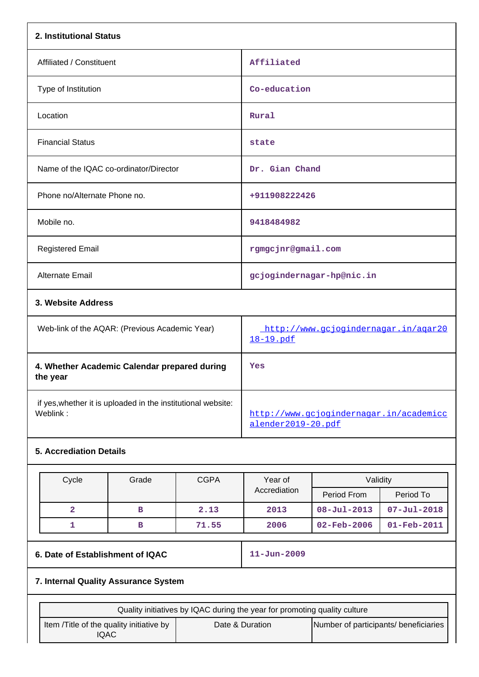| 2. Institutional Status                        |                                                   |  |  |  |
|------------------------------------------------|---------------------------------------------------|--|--|--|
| Affiliated / Constituent                       | Affiliated                                        |  |  |  |
| Type of Institution                            | Co-education                                      |  |  |  |
| Location                                       | Rural                                             |  |  |  |
| <b>Financial Status</b>                        | state                                             |  |  |  |
| Name of the IQAC co-ordinator/Director         | Dr. Gian Chand                                    |  |  |  |
| Phone no/Alternate Phone no.                   | +911908222426                                     |  |  |  |
| Mobile no.                                     | 9418484982                                        |  |  |  |
| <b>Registered Email</b>                        | rgmgcjnr@gmail.com                                |  |  |  |
| <b>Alternate Email</b>                         | gcjogindernagar-hp@nic.in                         |  |  |  |
| 3. Website Address                             |                                                   |  |  |  |
| Web-link of the AQAR: (Previous Academic Year) | http://www.gcjogindernagar.in/agar20<br>18-19.pdf |  |  |  |
| 4. Whether Academic Calendar prepared during   | Yes                                               |  |  |  |

| 4. whether Academic Calendar prepared during<br>the year     | res                                     |
|--------------------------------------------------------------|-----------------------------------------|
| if yes, whether it is uploaded in the institutional website: | http://www.gcjogindernagar.in/academicc |
| Weblink:                                                     | alender2019-20.pdf                      |

## **5. Accrediation Details**

| Cycle | Grade | <b>CGPA</b> | Year of      | Validity                 |                   |
|-------|-------|-------------|--------------|--------------------------|-------------------|
|       |       |             | Accrediation | Period From              | Period To         |
|       | в     | 2.13        | 2013         | $08 - \text{Jul} - 2013$ | $07 - Jul - 2018$ |
|       | в     | 71.55       | 2006         | 02-Feb-2006              | $01 - Feb - 2011$ |

# **6. Date of Establishment of IQAC 11-Jun-2009**

# **7. Internal Quality Assurance System**

| Quality initiatives by IQAC during the year for promoting quality culture |                 |                                       |  |  |  |
|---------------------------------------------------------------------------|-----------------|---------------------------------------|--|--|--|
| Item / Title of the quality initiative by<br>'QAC                         | Date & Duration | Number of participants/ beneficiaries |  |  |  |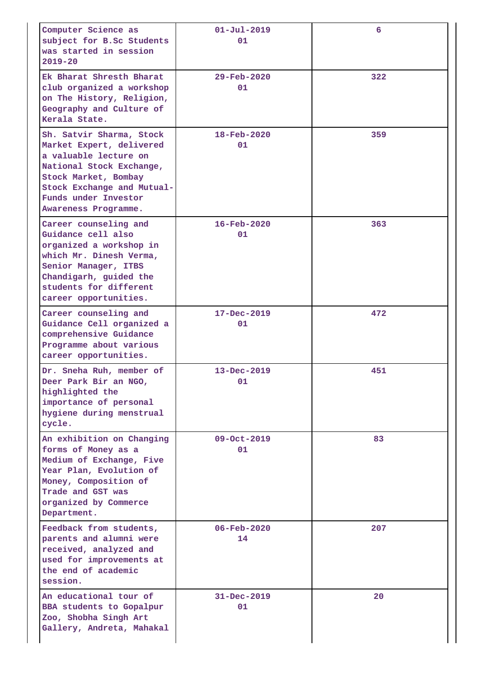| Computer Science as<br>subject for B.Sc Students<br>was started in session<br>$2019 - 20$                                                                                                                       | $01 - Ju1 - 2019$<br>01        | 6   |
|-----------------------------------------------------------------------------------------------------------------------------------------------------------------------------------------------------------------|--------------------------------|-----|
| Ek Bharat Shresth Bharat<br>club organized a workshop<br>on The History, Religion,<br>Geography and Culture of<br>Kerala State.                                                                                 | $29 - \text{Feb} - 2020$<br>01 | 322 |
| Sh. Satvir Sharma, Stock<br>Market Expert, delivered<br>a valuable lecture on<br>National Stock Exchange,<br>Stock Market, Bombay<br>Stock Exchange and Mutual-<br>Funds under Investor<br>Awareness Programme. | $18 - \text{Feb} - 2020$<br>01 | 359 |
| Career counseling and<br>Guidance cell also<br>organized a workshop in<br>which Mr. Dinesh Verma,<br>Senior Manager, ITBS<br>Chandigarh, guided the<br>students for different<br>career opportunities.          | $16 - \text{Feb} - 2020$<br>01 | 363 |
| Career counseling and<br>Guidance Cell organized a<br>comprehensive Guidance<br>Programme about various<br>career opportunities.                                                                                | $17 - Dec - 2019$<br>01        | 472 |
| Dr. Sneha Ruh, member of<br>Deer Park Bir an NGO,<br>highlighted the<br>importance of personal<br>hygiene during menstrual<br>cycle.                                                                            | $13 - Dec - 2019$<br>01        | 451 |
| An exhibition on Changing<br>forms of Money as a<br>Medium of Exchange, Five<br>Year Plan, Evolution of<br>Money, Composition of<br>Trade and GST was<br>organized by Commerce<br>Department.                   | 09-Oct-2019<br>01              | 83  |
| Feedback from students,<br>parents and alumni were<br>received, analyzed and<br>used for improvements at<br>the end of academic<br>session.                                                                     | $06 - \text{Feb} - 2020$<br>14 | 207 |
| An educational tour of<br><b>BBA</b> students to Gopalpur<br>Zoo, Shobha Singh Art<br>Gallery, Andreta, Mahakal                                                                                                 | $31 - Dec - 2019$<br>01        | 20  |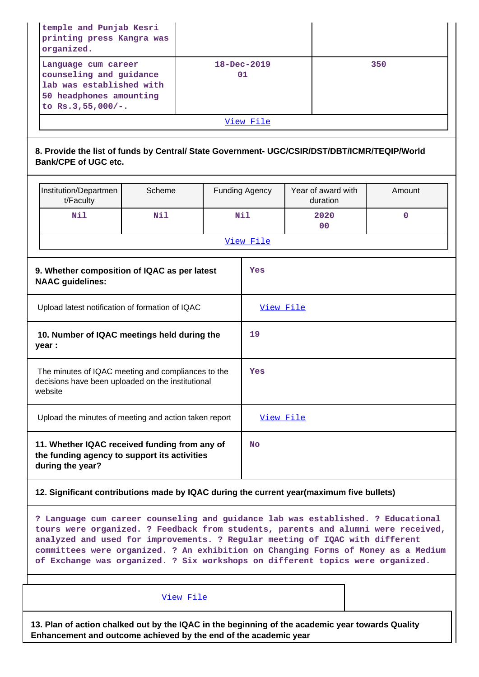| temple and Punjab Kesri<br>printing press Kangra was<br>organized.                                                                                                                                                                                    |        |                   |                       |                                                                                   |             |  |  |
|-------------------------------------------------------------------------------------------------------------------------------------------------------------------------------------------------------------------------------------------------------|--------|-------------------|-----------------------|-----------------------------------------------------------------------------------|-------------|--|--|
| Language cum career<br>counseling and guidance<br>lab was established with<br>50 headphones amounting<br>to $Rs.3,55,000/-.$                                                                                                                          |        | 18-Dec-2019<br>01 |                       |                                                                                   | 350         |  |  |
|                                                                                                                                                                                                                                                       |        |                   | View File             |                                                                                   |             |  |  |
| 8. Provide the list of funds by Central/ State Government- UGC/CSIR/DST/DBT/ICMR/TEQIP/World<br><b>Bank/CPE of UGC etc.</b>                                                                                                                           |        |                   |                       |                                                                                   |             |  |  |
| Institution/Departmen<br>t/Faculty                                                                                                                                                                                                                    | Scheme |                   | <b>Funding Agency</b> | Year of award with<br>duration                                                    | Amount      |  |  |
| Nil                                                                                                                                                                                                                                                   | Nil    |                   | Nil                   | 2020<br>00                                                                        | $\mathbf 0$ |  |  |
|                                                                                                                                                                                                                                                       |        |                   | View File             |                                                                                   |             |  |  |
| 9. Whether composition of IQAC as per latest<br><b>NAAC</b> guidelines:                                                                                                                                                                               |        |                   | Yes                   |                                                                                   |             |  |  |
| Upload latest notification of formation of IQAC                                                                                                                                                                                                       |        |                   | View File             |                                                                                   |             |  |  |
| 10. Number of IQAC meetings held during the<br>year :                                                                                                                                                                                                 |        |                   | 19                    |                                                                                   |             |  |  |
| The minutes of IQAC meeting and compliances to the<br>decisions have been uploaded on the institutional<br>website                                                                                                                                    |        | Yes               |                       |                                                                                   |             |  |  |
| Upload the minutes of meeting and action taken report                                                                                                                                                                                                 |        |                   | View File             |                                                                                   |             |  |  |
| 11. Whether IQAC received funding from any of<br>the funding agency to support its activities<br>during the year?                                                                                                                                     |        |                   | <b>No</b>             |                                                                                   |             |  |  |
| 12. Significant contributions made by IQAC during the current year(maximum five bullets)                                                                                                                                                              |        |                   |                       |                                                                                   |             |  |  |
| ? Language cum career counseling and guidance lab was established. ? Educational<br>tours were organized. ? Feedback from students, parents and alumni were received,<br>analyzed and used for improvements. ? Regular meeting of IQAC with different |        |                   |                       | committees were organized. ? An exhibition on Changing Forms of Money as a Medium |             |  |  |

[View File](https://assessmentonline.naac.gov.in/public/Postacc/Contribution/10452_Contribution.xlsx)

**13. Plan of action chalked out by the IQAC in the beginning of the academic year towards Quality Enhancement and outcome achieved by the end of the academic year**

**of Exchange was organized. ? Six workshops on different topics were organized.**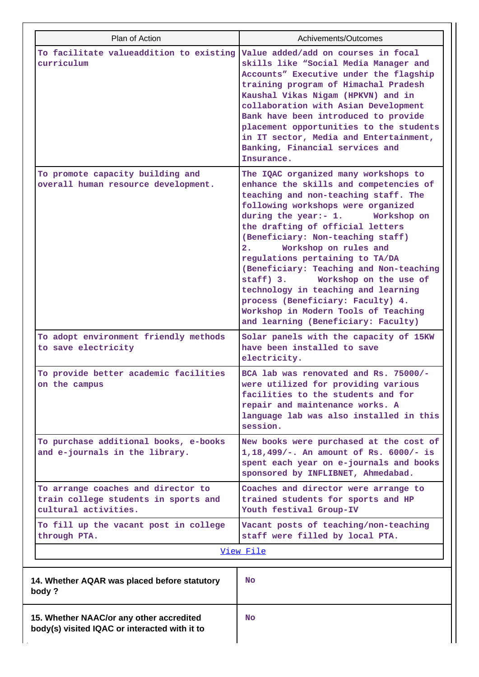| Plan of Action                                                                                     | Achivements/Outcomes                                                                                                                                                                                                                                                                                                                                                                                                                                                                                                                                                                        |  |  |  |
|----------------------------------------------------------------------------------------------------|---------------------------------------------------------------------------------------------------------------------------------------------------------------------------------------------------------------------------------------------------------------------------------------------------------------------------------------------------------------------------------------------------------------------------------------------------------------------------------------------------------------------------------------------------------------------------------------------|--|--|--|
| To facilitate valueaddition to existing<br>curriculum                                              | Value added/add on courses in focal<br>skills like "Social Media Manager and<br>Accounts" Executive under the flagship<br>training program of Himachal Pradesh<br>Kaushal Vikas Nigam (HPKVN) and in<br>collaboration with Asian Development<br>Bank have been introduced to provide<br>placement opportunities to the students<br>in IT sector, Media and Entertainment,<br>Banking, Financial services and<br>Insurance.                                                                                                                                                                  |  |  |  |
| To promote capacity building and<br>overall human resource development.                            | The IQAC organized many workshops to<br>enhance the skills and competencies of<br>teaching and non-teaching staff. The<br>following workshops were organized<br>during the year:- 1.<br>Workshop on<br>the drafting of official letters<br>(Beneficiary: Non-teaching staff)<br>Workshop on rules and<br>2.<br>regulations pertaining to TA/DA<br>(Beneficiary: Teaching and Non-teaching<br>staff) 3.<br>Workshop on the use of<br>technology in teaching and learning<br>process (Beneficiary: Faculty) 4.<br>Workshop in Modern Tools of Teaching<br>and learning (Beneficiary: Faculty) |  |  |  |
| To adopt environment friendly methods<br>to save electricity                                       | Solar panels with the capacity of 15KW<br>have been installed to save<br>electricity.                                                                                                                                                                                                                                                                                                                                                                                                                                                                                                       |  |  |  |
| To provide better academic facilities<br>on the campus                                             | BCA lab was renovated and Rs. 75000/-<br>were utilized for providing various<br>facilities to the students and for<br>repair and maintenance works. A<br>language lab was also installed in this<br>session.                                                                                                                                                                                                                                                                                                                                                                                |  |  |  |
| To purchase additional books, e-books<br>and e-journals in the library.                            | New books were purchased at the cost of<br>1,18,499/-. An amount of Rs. 6000/- is<br>spent each year on e-journals and books<br>sponsored by INFLIBNET, Ahmedabad.                                                                                                                                                                                                                                                                                                                                                                                                                          |  |  |  |
| To arrange coaches and director to<br>train college students in sports and<br>cultural activities. | Coaches and director were arrange to<br>trained students for sports and HP<br>Youth festival Group-IV                                                                                                                                                                                                                                                                                                                                                                                                                                                                                       |  |  |  |
| To fill up the vacant post in college<br>through PTA.                                              | Vacant posts of teaching/non-teaching<br>staff were filled by local PTA.                                                                                                                                                                                                                                                                                                                                                                                                                                                                                                                    |  |  |  |
|                                                                                                    | View File                                                                                                                                                                                                                                                                                                                                                                                                                                                                                                                                                                                   |  |  |  |
| 14. Whether AQAR was placed before statutory<br>body?                                              | <b>No</b>                                                                                                                                                                                                                                                                                                                                                                                                                                                                                                                                                                                   |  |  |  |
| 15. Whether NAAC/or any other accredited<br>body(s) visited IQAC or interacted with it to          | <b>No</b>                                                                                                                                                                                                                                                                                                                                                                                                                                                                                                                                                                                   |  |  |  |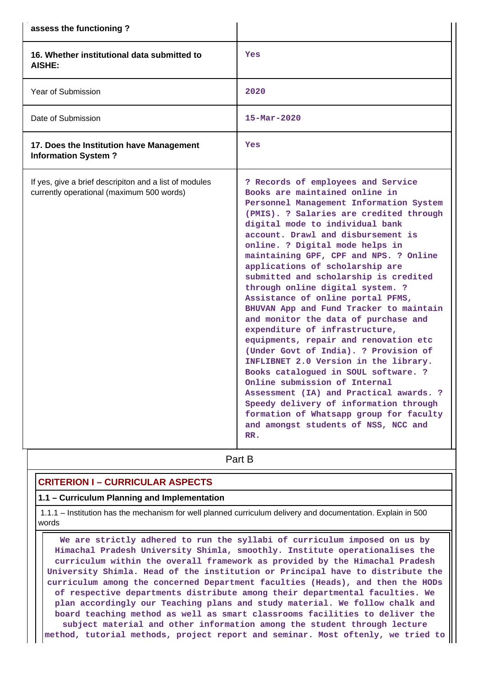| assess the functioning?                                                                             |                                                                                                                                                                                                                                                                                                                                                                                                                                                                                                                                                                                                                                                                                                                                                                                                                                                                                                                                                                               |
|-----------------------------------------------------------------------------------------------------|-------------------------------------------------------------------------------------------------------------------------------------------------------------------------------------------------------------------------------------------------------------------------------------------------------------------------------------------------------------------------------------------------------------------------------------------------------------------------------------------------------------------------------------------------------------------------------------------------------------------------------------------------------------------------------------------------------------------------------------------------------------------------------------------------------------------------------------------------------------------------------------------------------------------------------------------------------------------------------|
| 16. Whether institutional data submitted to<br><b>AISHE:</b>                                        | Yes                                                                                                                                                                                                                                                                                                                                                                                                                                                                                                                                                                                                                                                                                                                                                                                                                                                                                                                                                                           |
| <b>Year of Submission</b>                                                                           | 2020                                                                                                                                                                                                                                                                                                                                                                                                                                                                                                                                                                                                                                                                                                                                                                                                                                                                                                                                                                          |
| Date of Submission                                                                                  | $15 - \text{Mar} - 2020$                                                                                                                                                                                                                                                                                                                                                                                                                                                                                                                                                                                                                                                                                                                                                                                                                                                                                                                                                      |
| 17. Does the Institution have Management<br><b>Information System?</b>                              | Yes                                                                                                                                                                                                                                                                                                                                                                                                                                                                                                                                                                                                                                                                                                                                                                                                                                                                                                                                                                           |
| If yes, give a brief descripiton and a list of modules<br>currently operational (maximum 500 words) | ? Records of employees and Service<br>Books are maintained online in<br>Personnel Management Information System<br>(PMIS). ? Salaries are credited through<br>digital mode to individual bank<br>account. Drawl and disbursement is<br>online. ? Digital mode helps in<br>maintaining GPF, CPF and NPS. ? Online<br>applications of scholarship are<br>submitted and scholarship is credited<br>through online digital system. ?<br>Assistance of online portal PFMS,<br>BHUVAN App and Fund Tracker to maintain<br>and monitor the data of purchase and<br>expenditure of infrastructure,<br>equipments, repair and renovation etc<br>(Under Govt of India). ? Provision of<br>INFLIBNET 2.0 Version in the library.<br>Books catalogued in SOUL software. ?<br>Online submission of Internal<br>Assessment (IA) and Practical awards. ?<br>Speedy delivery of information through<br>formation of Whatsapp group for faculty<br>and amongst students of NSS, NCC and<br>RR. |

# **Part B**

### **CRITERION I – CURRICULAR ASPECTS**

### **1.1 – Curriculum Planning and Implementation**

 1.1.1 – Institution has the mechanism for well planned curriculum delivery and documentation. Explain in 500 words

 **We are strictly adhered to run the syllabi of curriculum imposed on us by Himachal Pradesh University Shimla, smoothly. Institute operationalises the curriculum within the overall framework as provided by the Himachal Pradesh University Shimla. Head of the institution or Principal have to distribute the curriculum among the concerned Department faculties (Heads), and then the HODs of respective departments distribute among their departmental faculties. We plan accordingly our Teaching plans and study material. We follow chalk and board teaching method as well as smart classrooms facilities to deliver the subject material and other information among the student through lecture method, tutorial methods, project report and seminar. Most oftenly, we tried to**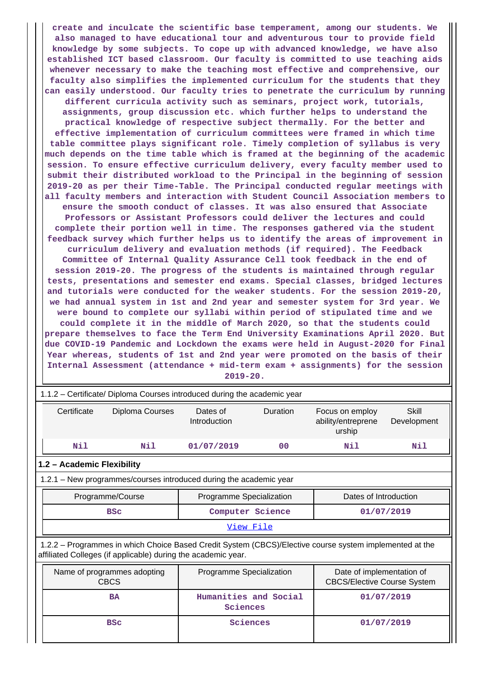**create and inculcate the scientific base temperament, among our students. We also managed to have educational tour and adventurous tour to provide field knowledge by some subjects. To cope up with advanced knowledge, we have also established ICT based classroom. Our faculty is committed to use teaching aids whenever necessary to make the teaching most effective and comprehensive, our faculty also simplifies the implemented curriculum for the students that they can easily understood. Our faculty tries to penetrate the curriculum by running different curricula activity such as seminars, project work, tutorials, assignments, group discussion etc. which further helps to understand the practical knowledge of respective subject thermally. For the better and effective implementation of curriculum committees were framed in which time table committee plays significant role. Timely completion of syllabus is very much depends on the time table which is framed at the beginning of the academic session. To ensure effective curriculum delivery, every faculty member used to submit their distributed workload to the Principal in the beginning of session 2019-20 as per their Time-Table. The Principal conducted regular meetings with all faculty members and interaction with Student Council Association members to ensure the smooth conduct of classes. It was also ensured that Associate Professors or Assistant Professors could deliver the lectures and could complete their portion well in time. The responses gathered via the student feedback survey which further helps us to identify the areas of improvement in curriculum delivery and evaluation methods (if required). The Feedback Committee of Internal Quality Assurance Cell took feedback in the end of session 2019-20. The progress of the students is maintained through regular tests, presentations and semester end exams. Special classes, bridged lectures and tutorials were conducted for the weaker students. For the session 2019-20, we had annual system in 1st and 2nd year and semester system for 3rd year. We were bound to complete our syllabi within period of stipulated time and we could complete it in the middle of March 2020, so that the students could prepare themselves to face the Term End University Examinations April 2020. But due COVID-19 Pandemic and Lockdown the exams were held in August-2020 for Final Year whereas, students of 1st and 2nd year were promoted on the basis of their Internal Assessment (attendance + mid-term exam + assignments) for the session 2019-20.**

| 1.1.2 - Certificate/ Diploma Courses introduced during the academic year |                                                                                                                                                                          |                          |                       |                                                                 |                      |  |
|--------------------------------------------------------------------------|--------------------------------------------------------------------------------------------------------------------------------------------------------------------------|--------------------------|-----------------------|-----------------------------------------------------------------|----------------------|--|
| Certificate                                                              | Diploma Courses                                                                                                                                                          | Dates of<br>Introduction | Duration              | Focus on employ<br>ability/entreprene<br>urship                 | Skill<br>Development |  |
| Nil                                                                      | Nil                                                                                                                                                                      | 01/07/2019               | 0 <sub>0</sub>        | Nil                                                             | Nil                  |  |
| 1.2 - Academic Flexibility                                               |                                                                                                                                                                          |                          |                       |                                                                 |                      |  |
| 1.2.1 – New programmes/courses introduced during the academic year       |                                                                                                                                                                          |                          |                       |                                                                 |                      |  |
|                                                                          | Programme/Course                                                                                                                                                         | Programme Specialization |                       | Dates of Introduction                                           |                      |  |
|                                                                          | <b>BSC</b>                                                                                                                                                               | Computer Science         |                       | 01/07/2019                                                      |                      |  |
| View File                                                                |                                                                                                                                                                          |                          |                       |                                                                 |                      |  |
|                                                                          | 1.2.2 - Programmes in which Choice Based Credit System (CBCS)/Elective course system implemented at the<br>affiliated Colleges (if applicable) during the academic year. |                          |                       |                                                                 |                      |  |
| Name of programmes adopting<br><b>CBCS</b>                               |                                                                                                                                                                          | Programme Specialization |                       | Date of implementation of<br><b>CBCS/Elective Course System</b> |                      |  |
|                                                                          | <b>BA</b>                                                                                                                                                                | Sciences                 | Humanities and Social |                                                                 | 01/07/2019           |  |
|                                                                          | Sciences<br><b>BSC</b>                                                                                                                                                   |                          |                       |                                                                 | 01/07/2019           |  |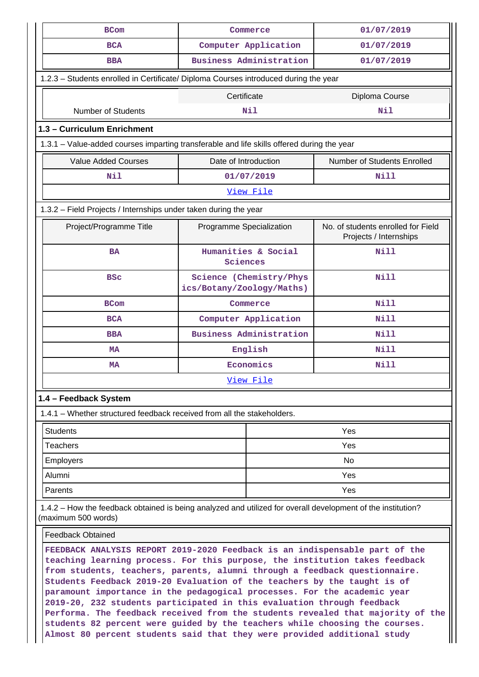| <b>BCom</b>                                                                                                                                                                                                                                                                                                          | Commerce                  | 01/07/2019                     |                                                              |  |  |  |
|----------------------------------------------------------------------------------------------------------------------------------------------------------------------------------------------------------------------------------------------------------------------------------------------------------------------|---------------------------|--------------------------------|--------------------------------------------------------------|--|--|--|
| <b>BCA</b>                                                                                                                                                                                                                                                                                                           |                           | Computer Application           | 01/07/2019                                                   |  |  |  |
| <b>BBA</b>                                                                                                                                                                                                                                                                                                           |                           | Business Administration        | 01/07/2019                                                   |  |  |  |
| 1.2.3 - Students enrolled in Certificate/ Diploma Courses introduced during the year                                                                                                                                                                                                                                 |                           |                                |                                                              |  |  |  |
| Certificate<br>Diploma Course                                                                                                                                                                                                                                                                                        |                           |                                |                                                              |  |  |  |
| <b>Number of Students</b><br>Nil<br>Nil                                                                                                                                                                                                                                                                              |                           |                                |                                                              |  |  |  |
| 1.3 - Curriculum Enrichment                                                                                                                                                                                                                                                                                          |                           |                                |                                                              |  |  |  |
| 1.3.1 – Value-added courses imparting transferable and life skills offered during the year                                                                                                                                                                                                                           |                           |                                |                                                              |  |  |  |
| <b>Value Added Courses</b>                                                                                                                                                                                                                                                                                           | Date of Introduction      |                                | Number of Students Enrolled                                  |  |  |  |
| Nil                                                                                                                                                                                                                                                                                                                  |                           | 01/07/2019                     | <b>Nill</b>                                                  |  |  |  |
|                                                                                                                                                                                                                                                                                                                      |                           | View File                      |                                                              |  |  |  |
| 1.3.2 - Field Projects / Internships under taken during the year                                                                                                                                                                                                                                                     |                           |                                |                                                              |  |  |  |
| Project/Programme Title                                                                                                                                                                                                                                                                                              | Programme Specialization  |                                | No. of students enrolled for Field<br>Projects / Internships |  |  |  |
| <b>BA</b>                                                                                                                                                                                                                                                                                                            | Sciences                  | Humanities & Social            | <b>Nill</b>                                                  |  |  |  |
| <b>BSC</b>                                                                                                                                                                                                                                                                                                           | ics/Botany/Zoology/Maths) | Science (Chemistry/Phys        | <b>Nill</b>                                                  |  |  |  |
| <b>BCom</b>                                                                                                                                                                                                                                                                                                          |                           | Commerce                       | <b>Nill</b>                                                  |  |  |  |
| <b>BCA</b>                                                                                                                                                                                                                                                                                                           |                           | Computer Application           | <b>Nill</b>                                                  |  |  |  |
| <b>BBA</b>                                                                                                                                                                                                                                                                                                           |                           | <b>Business Administration</b> | Nill                                                         |  |  |  |
| MA                                                                                                                                                                                                                                                                                                                   |                           | English                        | <b>Nill</b>                                                  |  |  |  |
| МA                                                                                                                                                                                                                                                                                                                   |                           | Economics                      | <b>Nill</b>                                                  |  |  |  |
|                                                                                                                                                                                                                                                                                                                      |                           | View File                      |                                                              |  |  |  |
| 1.4 - Feedback System                                                                                                                                                                                                                                                                                                |                           |                                |                                                              |  |  |  |
| 1.4.1 – Whether structured feedback received from all the stakeholders.                                                                                                                                                                                                                                              |                           |                                |                                                              |  |  |  |
| <b>Students</b>                                                                                                                                                                                                                                                                                                      |                           |                                | Yes                                                          |  |  |  |
| Teachers                                                                                                                                                                                                                                                                                                             |                           |                                | Yes                                                          |  |  |  |
| <b>Employers</b>                                                                                                                                                                                                                                                                                                     |                           |                                | No                                                           |  |  |  |
| Alumni                                                                                                                                                                                                                                                                                                               |                           |                                | Yes                                                          |  |  |  |
| Parents                                                                                                                                                                                                                                                                                                              |                           |                                | Yes                                                          |  |  |  |
| 1.4.2 - How the feedback obtained is being analyzed and utilized for overall development of the institution?<br>(maximum 500 words)                                                                                                                                                                                  |                           |                                |                                                              |  |  |  |
| <b>Feedback Obtained</b>                                                                                                                                                                                                                                                                                             |                           |                                |                                                              |  |  |  |
| FEEDBACK ANALYSIS REPORT 2019-2020 Feedback is an indispensable part of the<br>teaching learning process. For this purpose, the institution takes feedback<br>from students, teachers, parents, alumni through a feedback questionnaire.<br>Students Feedback 2019-20 Evaluation of the teachers by the taught is of |                           |                                |                                                              |  |  |  |

**paramount importance in the pedagogical processes. For the academic year 2019-20, 232 students participated in this evaluation through feedback Performa. The feedback received from the students revealed that majority of the students 82 percent were guided by the teachers while choosing the courses. Almost 80 percent students said that they were provided additional study**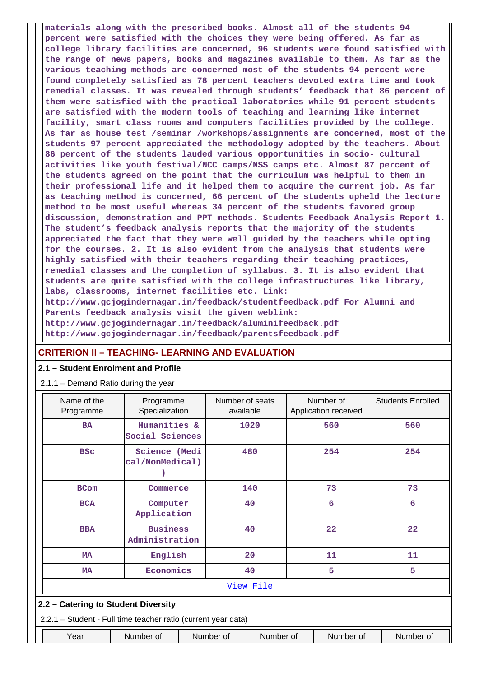**materials along with the prescribed books. Almost all of the students 94 percent were satisfied with the choices they were being offered. As far as college library facilities are concerned, 96 students were found satisfied with the range of news papers, books and magazines available to them. As far as the various teaching methods are concerned most of the students 94 percent were found completely satisfied as 78 percent teachers devoted extra time and took remedial classes. It was revealed through students' feedback that 86 percent of them were satisfied with the practical laboratories while 91 percent students are satisfied with the modern tools of teaching and learning like internet facility, smart class rooms and computers facilities provided by the college. As far as house test /seminar /workshops/assignments are concerned, most of the students 97 percent appreciated the methodology adopted by the teachers. About 86 percent of the students lauded various opportunities in socio- cultural activities like youth festival/NCC camps/NSS camps etc. Almost 87 percent of the students agreed on the point that the curriculum was helpful to them in their professional life and it helped them to acquire the current job. As far as teaching method is concerned, 66 percent of the students upheld the lecture method to be most useful whereas 34 percent of the students favored group discussion, demonstration and PPT methods. Students Feedback Analysis Report 1. The student's feedback analysis reports that the majority of the students appreciated the fact that they were well guided by the teachers while opting for the courses. 2. It is also evident from the analysis that students were highly satisfied with their teachers regarding their teaching practices, remedial classes and the completion of syllabus. 3. It is also evident that students are quite satisfied with the college infrastructures like library, labs, classrooms, internet facilities etc. Link: http://www.gcjogindernagar.in/feedback/studentfeedback.pdf For Alumni and Parents feedback analysis visit the given weblink: http://www.gcjogindernagar.in/feedback/aluminifeedback.pdf**

**http://www.gcjogindernagar.in/feedback/parentsfeedback.pdf**

### **CRITERION II – TEACHING- LEARNING AND EVALUATION**

### **2.1 – Student Enrolment and Profile**

| 2.1.1 - Demand Ratio during the year                          |                                   |  |                              |           |  |                                   |                          |
|---------------------------------------------------------------|-----------------------------------|--|------------------------------|-----------|--|-----------------------------------|--------------------------|
| Name of the<br>Programme                                      | Programme<br>Specialization       |  | Number of seats<br>available |           |  | Number of<br>Application received | <b>Students Enrolled</b> |
| <b>BA</b>                                                     | Humanities &<br>Social Sciences   |  |                              | 1020      |  | 560                               | 560                      |
| <b>BSC</b>                                                    | Science (Medi<br>cal/NonMedical)  |  | 480                          |           |  | 254                               | 254                      |
| <b>BCom</b>                                                   | Commerce                          |  |                              | 140       |  | 73                                | 73                       |
| <b>BCA</b>                                                    | Computer<br>Application           |  | 40                           |           |  | 6                                 | 6                        |
| <b>BBA</b>                                                    | <b>Business</b><br>Administration |  | 40                           |           |  | 22                                | 22                       |
| <b>MA</b>                                                     | English                           |  |                              | 20        |  | 11                                | 11                       |
| <b>MA</b>                                                     | Economics                         |  |                              | 40        |  | 5                                 | 5                        |
| View File                                                     |                                   |  |                              |           |  |                                   |                          |
| 2.2 - Catering to Student Diversity                           |                                   |  |                              |           |  |                                   |                          |
| 2.2.1 - Student - Full time teacher ratio (current year data) |                                   |  |                              |           |  |                                   |                          |
| Year                                                          | Number of                         |  | Number of                    | Number of |  | Number of                         | Number of                |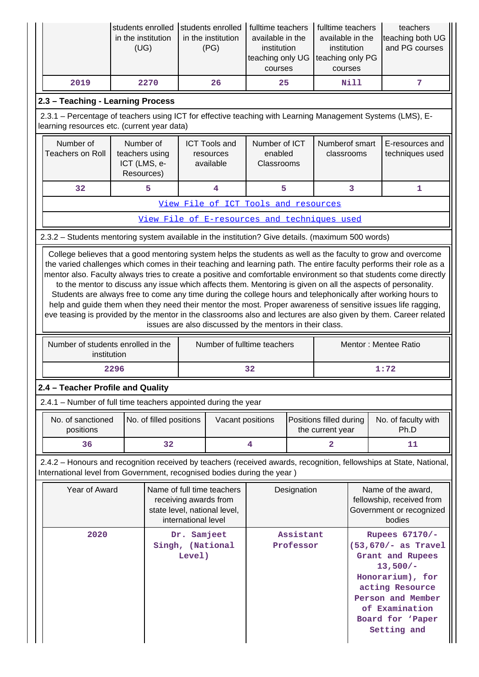|                                   | students enrolled<br>students enrolled<br>in the institution<br>(UG) |                                                | fulltime teachers<br>available in the<br>institution<br>teaching only UG<br>courses                        | fulltime teachers<br>available in the<br>institution<br>teaching only PG<br>courses | teachers<br>teaching both UG<br>and PG courses |  |
|-----------------------------------|----------------------------------------------------------------------|------------------------------------------------|------------------------------------------------------------------------------------------------------------|-------------------------------------------------------------------------------------|------------------------------------------------|--|
| 2019                              | 2270                                                                 | 26                                             | 25                                                                                                         | Nill                                                                                | 7                                              |  |
| 2.3 - Teaching - Learning Process |                                                                      |                                                |                                                                                                            |                                                                                     |                                                |  |
|                                   | learning resources etc. (current year data)                          |                                                | 2.3.1 – Percentage of teachers using ICT for effective teaching with Learning Management Systems (LMS), E- |                                                                                     |                                                |  |
|                                   |                                                                      |                                                |                                                                                                            |                                                                                     |                                                |  |
| Number of<br>Teachers on Roll     | Number of<br>teachers using<br>ICT (LMS, e-<br>Resources)            | <b>ICT Tools and</b><br>resources<br>available | Number of ICT<br>enabled<br>Classrooms                                                                     | Numberof smart<br>classrooms                                                        | E-resources and<br>techniques used             |  |
| 32                                | 5                                                                    | 4                                              | 5                                                                                                          | 3                                                                                   | 1                                              |  |
|                                   |                                                                      |                                                | View File of ICT Tools and resources                                                                       |                                                                                     |                                                |  |

2.3.2 – Students mentoring system available in the institution? Give details. (maximum 500 words)

 College believes that a good mentoring system helps the students as well as the faculty to grow and overcome the varied challenges which comes in their teaching and learning path. The entire faculty performs their role as a mentor also. Faculty always tries to create a positive and comfortable environment so that students come directly to the mentor to discuss any issue which affects them. Mentoring is given on all the aspects of personality. Students are always free to come any time during the college hours and telephonically after working hours to help and guide them when they need their mentor the most. Proper awareness of sensitive issues life ragging, eve teasing is provided by the mentor in the classrooms also and lectures are also given by them. Career related issues are also discussed by the mentors in their class.

| Number of students enrolled in the<br>institution | Number of fulltime teachers | Mentor: Mentee Ratio |  |  |
|---------------------------------------------------|-----------------------------|----------------------|--|--|
| 2296                                              | 32                          | 1:72                 |  |  |

### **2.4 – Teacher Profile and Quality**

2.4.1 – Number of full time teachers appointed during the year

| No. of sanctioned<br>positions | No. of filled positions | Vacant positions | Positions filled during<br>the current year | No. of faculty with<br>Ph.D |  |
|--------------------------------|-------------------------|------------------|---------------------------------------------|-----------------------------|--|
| 36                             |                         |                  |                                             |                             |  |

 2.4.2 – Honours and recognition received by teachers (received awards, recognition, fellowships at State, National, International level from Government, recognised bodies during the year )

| Year of Award | Name of full time teachers<br>receiving awards from<br>state level, national level,<br>international level | Designation            | Name of the award,<br>fellowship, received from<br>Government or recognized<br>bodies                                                                                                         |
|---------------|------------------------------------------------------------------------------------------------------------|------------------------|-----------------------------------------------------------------------------------------------------------------------------------------------------------------------------------------------|
| 2020          | Dr. Samjeet<br>Singh, (National<br>Level)                                                                  | Assistant<br>Professor | Rupees $67170/-$<br>$(53, 670/- as Travel$<br>Grant and Rupees<br>$13,500/-$<br>Honorarium), for<br>acting Resource<br>Person and Member<br>of Examination<br>Board for 'Paper<br>Setting and |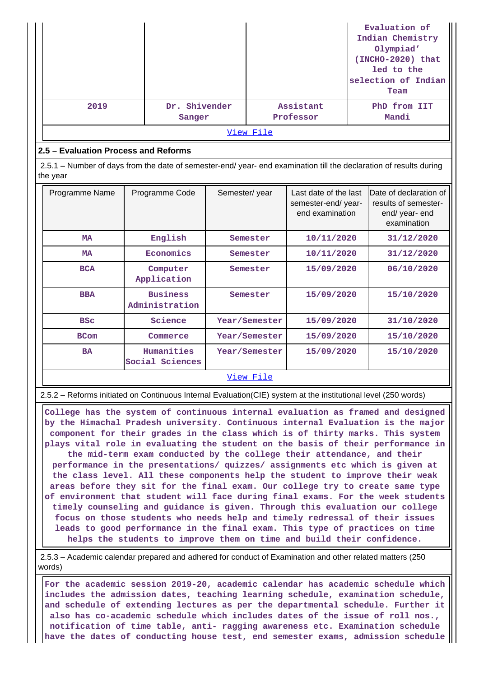|                                                                                                                                |                                   |               |               |                                                                |  | Evaluation of<br>Indian Chemistry<br>Olympiad'<br>(INCHO-2020) that<br>led to the<br>selection of Indian<br>Team |
|--------------------------------------------------------------------------------------------------------------------------------|-----------------------------------|---------------|---------------|----------------------------------------------------------------|--|------------------------------------------------------------------------------------------------------------------|
| 2019                                                                                                                           | Dr. Shivender<br>Sanger           |               |               | Assistant<br>Professor                                         |  | PhD from IIT<br>Mandi                                                                                            |
|                                                                                                                                |                                   |               | View File     |                                                                |  |                                                                                                                  |
| 2.5 - Evaluation Process and Reforms                                                                                           |                                   |               |               |                                                                |  |                                                                                                                  |
| 2.5.1 – Number of days from the date of semester-end/ year- end examination till the declaration of results during<br>the year |                                   |               |               |                                                                |  |                                                                                                                  |
| Programme Name                                                                                                                 | Programme Code                    | Semester/year |               | Last date of the last<br>semester-end/year-<br>end examination |  | Date of declaration of<br>results of semester-<br>end/ year- end<br>examination                                  |
| <b>MA</b>                                                                                                                      | English                           |               | Semester      | 10/11/2020                                                     |  | 31/12/2020                                                                                                       |
| <b>MA</b>                                                                                                                      | Economics                         |               | Semester      | 10/11/2020                                                     |  | 31/12/2020                                                                                                       |
| <b>BCA</b>                                                                                                                     | Computer<br>Application           |               | Semester      | 15/09/2020                                                     |  | 06/10/2020                                                                                                       |
| <b>BBA</b>                                                                                                                     | <b>Business</b><br>Administration | Semester      |               | 15/09/2020                                                     |  | 15/10/2020                                                                                                       |
| <b>BSC</b>                                                                                                                     | Science                           |               | Year/Semester | 15/09/2020                                                     |  | 31/10/2020                                                                                                       |
| <b>BCom</b>                                                                                                                    | Commerce                          |               | Year/Semester | 15/09/2020                                                     |  | 15/10/2020                                                                                                       |
| <b>BA</b>                                                                                                                      | Humanities<br>Social Sciences     |               | Year/Semester | 15/09/2020                                                     |  | 15/10/2020                                                                                                       |

### [View File](https://assessmentonline.naac.gov.in/public/Postacc/Evaluation/10452_Evaluation_1622636757.xlsx)

2.5.2 – Reforms initiated on Continuous Internal Evaluation(CIE) system at the institutional level (250 words)

 **College has the system of continuous internal evaluation as framed and designed by the Himachal Pradesh university. Continuous internal Evaluation is the major component for their grades in the class which is of thirty marks. This system plays vital role in evaluating the student on the basis of their performance in the mid-term exam conducted by the college their attendance, and their performance in the presentations/ quizzes/ assignments etc which is given at the class level. All these components help the student to improve their weak areas before they sit for the final exam. Our college try to create same type of environment that student will face during final exams. For the week students timely counseling and guidance is given. Through this evaluation our college focus on those students who needs help and timely redressal of their issues leads to good performance in the final exam. This type of practices on time helps the students to improve them on time and build their confidence.**

 2.5.3 – Academic calendar prepared and adhered for conduct of Examination and other related matters (250 words)

 **For the academic session 2019-20, academic calendar has academic schedule which includes the admission dates, teaching learning schedule, examination schedule, and schedule of extending lectures as per the departmental schedule. Further it also has co-academic schedule which includes dates of the issue of roll nos., notification of time table, anti- ragging awareness etc. Examination schedule have the dates of conducting house test, end semester exams, admission schedule**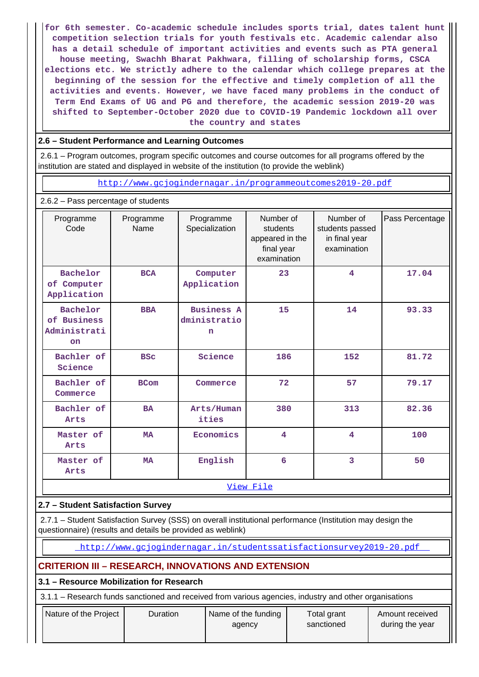**for 6th semester. Co-academic schedule includes sports trial, dates talent hunt competition selection trials for youth festivals etc. Academic calendar also has a detail schedule of important activities and events such as PTA general house meeting, Swachh Bharat Pakhwara, filling of scholarship forms, CSCA elections etc. We strictly adhere to the calendar which college prepares at the beginning of the session for the effective and timely completion of all the activities and events. However, we have faced many problems in the conduct of Term End Exams of UG and PG and therefore, the academic session 2019-20 was shifted to September-October 2020 due to COVID-19 Pandemic lockdown all over the country and states**

### **2.6 – Student Performance and Learning Outcomes**

 2.6.1 – Program outcomes, program specific outcomes and course outcomes for all programs offered by the institution are stated and displayed in website of the institution (to provide the weblink)

<http://www.gcjogindernagar.in/programmeoutcomes2019-20.pdf>

2.6.2 – Pass percentage of students

| Programme<br>Code                                    | Programme<br>Name | Programme<br>Specialization                      | Number of<br>students<br>appeared in the<br>final year<br>examination | Number of<br>students passed<br>in final year<br>examination | Pass Percentage |
|------------------------------------------------------|-------------------|--------------------------------------------------|-----------------------------------------------------------------------|--------------------------------------------------------------|-----------------|
| Bachelor<br>of Computer<br>Application               | <b>BCA</b>        | Computer<br>Application                          | 23                                                                    | 4                                                            | 17.04           |
| Bachelor<br>of Business<br>Administrati<br><b>on</b> | <b>BBA</b>        | <b>Business A</b><br>dministratio<br>$\mathbf n$ | 15                                                                    | 14                                                           | 93.33           |
| Bachler of<br>Science                                | <b>BSC</b>        | Science                                          | 186                                                                   | 152                                                          | 81.72           |
| Bachler of<br>Commerce                               | <b>BCom</b>       | Commerce                                         | 72                                                                    | 57                                                           | 79.17           |
| Bachler of<br>Arts                                   | <b>BA</b>         | Arts/Human<br>ities                              | 380                                                                   | 313                                                          | 82.36           |
| Master of<br>Arts                                    | <b>MA</b>         | Economics                                        | 4                                                                     | 4                                                            | 100             |
| Master of<br>Arts                                    | <b>MA</b>         |                                                  | 6                                                                     | 3                                                            | 50              |
|                                                      |                   |                                                  | View File                                                             |                                                              |                 |

### **2.7 – Student Satisfaction Survey**

 2.7.1 – Student Satisfaction Survey (SSS) on overall institutional performance (Institution may design the questionnaire) (results and details be provided as weblink)

<http://www.gcjogindernagar.in/studentssatisfactionsurvey2019-20.pdf>

### **CRITERION III – RESEARCH, INNOVATIONS AND EXTENSION**

### **3.1 – Resource Mobilization for Research**

3.1.1 – Research funds sanctioned and received from various agencies, industry and other organisations

| Nature of the Project | Name of the funding | Total grant | Amount received |
|-----------------------|---------------------|-------------|-----------------|
| <b>Duration</b>       | agency              | sanctioned  | during the year |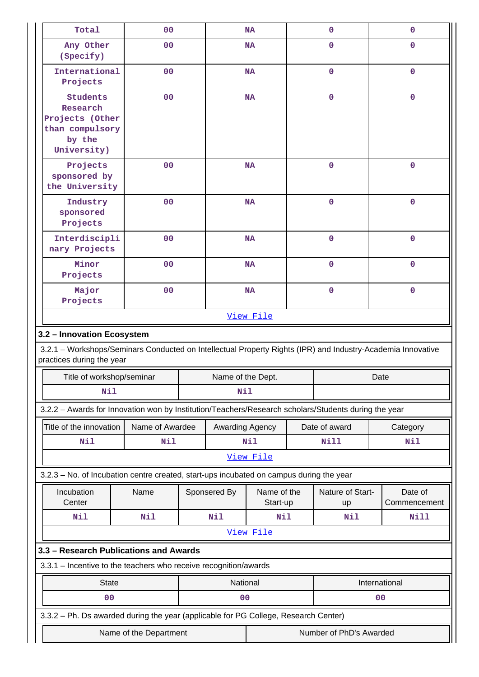| Total                                                                                                                                    | 00                     |     |                   | <b>NA</b>                |  | $\mathbf 0$                   | $\mathbf 0$             |  |
|------------------------------------------------------------------------------------------------------------------------------------------|------------------------|-----|-------------------|--------------------------|--|-------------------------------|-------------------------|--|
| Any Other<br>(Specify)                                                                                                                   | 0 <sub>0</sub>         |     |                   | <b>NA</b>                |  | 0                             | 0                       |  |
| International<br>Projects                                                                                                                | 00                     |     |                   | <b>NA</b>                |  | $\mathbf 0$                   | $\mathbf 0$             |  |
| <b>Students</b><br>Research<br>Projects (Other<br>by the<br>University)                                                                  | 00<br>than compulsory  |     |                   | <b>NA</b>                |  | $\mathbf 0$                   | $\mathbf 0$             |  |
| Projects<br>sponsored by<br>the University                                                                                               | 00                     |     |                   | <b>NA</b>                |  | $\mathbf 0$                   | $\mathbf 0$             |  |
| Industry<br>sponsored<br>Projects                                                                                                        | 00                     |     |                   | <b>NA</b>                |  | $\mathbf 0$                   | $\mathbf 0$             |  |
| Interdiscipli<br>nary Projects                                                                                                           | 00                     |     |                   | <b>NA</b>                |  | $\mathbf{0}$                  | $\mathbf 0$             |  |
| Minor<br>Projects                                                                                                                        | 0 <sub>0</sub>         |     |                   | <b>NA</b>                |  | $\mathbf{0}$                  | $\mathbf 0$             |  |
| Major<br>Projects                                                                                                                        | 00                     |     |                   | $\mathbf 0$<br><b>NA</b> |  | $\pmb{0}$                     |                         |  |
|                                                                                                                                          |                        |     |                   | View File                |  |                               |                         |  |
| 3.2 - Innovation Ecosystem                                                                                                               |                        |     |                   |                          |  |                               |                         |  |
| 3.2.1 - Workshops/Seminars Conducted on Intellectual Property Rights (IPR) and Industry-Academia Innovative<br>practices during the year |                        |     |                   |                          |  |                               |                         |  |
| Title of workshop/seminar                                                                                                                |                        |     | Name of the Dept. |                          |  | Date                          |                         |  |
| <b>Nil</b>                                                                                                                               |                        | Nil |                   |                          |  |                               |                         |  |
| 3.2.2 - Awards for Innovation won by Institution/Teachers/Research scholars/Students during the year                                     |                        |     |                   |                          |  |                               |                         |  |
| Title of the innovation                                                                                                                  | Name of Awardee        |     | Awarding Agency   | Date of award            |  |                               | Category                |  |
| Nil                                                                                                                                      | <b>Nil</b>             |     |                   | <b>Nil</b>               |  | Nill                          | <b>Nil</b>              |  |
|                                                                                                                                          |                        |     |                   | View File                |  |                               |                         |  |
| 3.2.3 - No. of Incubation centre created, start-ups incubated on campus during the year                                                  |                        |     |                   |                          |  |                               |                         |  |
| Incubation<br>Center                                                                                                                     | Name                   |     | Sponsered By      | Name of the<br>Start-up  |  | Nature of Start-<br><b>up</b> | Date of<br>Commencement |  |
| Nil                                                                                                                                      | Nil                    |     | Nil               | Nil                      |  | Nil                           | <b>Nill</b>             |  |
|                                                                                                                                          |                        |     |                   | View File                |  |                               |                         |  |
| 3.3 - Research Publications and Awards                                                                                                   |                        |     |                   |                          |  |                               |                         |  |
| 3.3.1 - Incentive to the teachers who receive recognition/awards                                                                         |                        |     |                   |                          |  |                               |                         |  |
| <b>State</b>                                                                                                                             |                        |     | National          |                          |  |                               | International           |  |
| 0 <sub>0</sub>                                                                                                                           |                        |     | 00                |                          |  |                               | 00                      |  |
| 3.3.2 - Ph. Ds awarded during the year (applicable for PG College, Research Center)                                                      |                        |     |                   |                          |  |                               |                         |  |
|                                                                                                                                          | Name of the Department |     |                   | Number of PhD's Awarded  |  |                               |                         |  |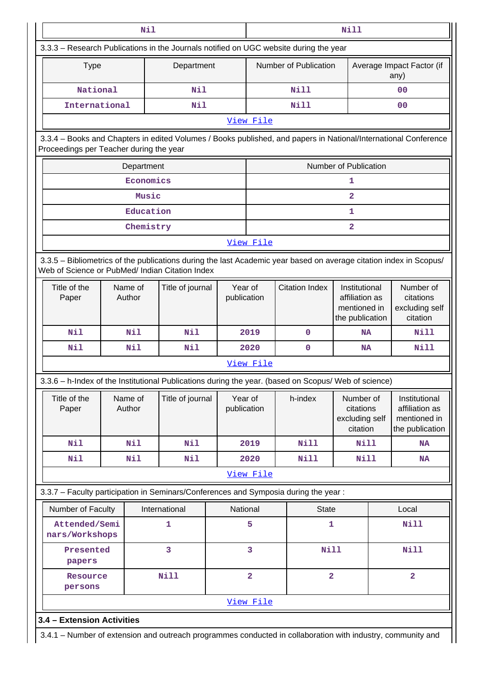| Nil                                                                                                                                                                   |                   |            |                  |      |                                                                                           | <b>Nill</b>             |                                                                    |                                                                    |                                                      |  |
|-----------------------------------------------------------------------------------------------------------------------------------------------------------------------|-------------------|------------|------------------|------|-------------------------------------------------------------------------------------------|-------------------------|--------------------------------------------------------------------|--------------------------------------------------------------------|------------------------------------------------------|--|
|                                                                                                                                                                       |                   |            |                  |      | 3.3.3 - Research Publications in the Journals notified on UGC website during the year     |                         |                                                                    |                                                                    |                                                      |  |
| <b>Type</b>                                                                                                                                                           |                   |            | Department       |      |                                                                                           | Number of Publication   |                                                                    |                                                                    | Average Impact Factor (if<br>any)                    |  |
| National                                                                                                                                                              |                   |            | Nil              |      |                                                                                           | <b>Nill</b>             |                                                                    |                                                                    | 00                                                   |  |
| International                                                                                                                                                         |                   |            | Nil              |      |                                                                                           | Nill                    |                                                                    |                                                                    | 00                                                   |  |
|                                                                                                                                                                       |                   |            |                  |      | View File                                                                                 |                         |                                                                    |                                                                    |                                                      |  |
| 3.3.4 - Books and Chapters in edited Volumes / Books published, and papers in National/International Conference<br>Proceedings per Teacher during the year            |                   |            |                  |      |                                                                                           |                         |                                                                    |                                                                    |                                                      |  |
|                                                                                                                                                                       |                   | Department |                  |      |                                                                                           |                         | <b>Number of Publication</b>                                       |                                                                    |                                                      |  |
|                                                                                                                                                                       |                   | Economics  |                  |      |                                                                                           |                         | 1                                                                  |                                                                    |                                                      |  |
|                                                                                                                                                                       |                   | Music      |                  |      |                                                                                           |                         | $\overline{\mathbf{2}}$                                            |                                                                    |                                                      |  |
|                                                                                                                                                                       |                   | Education  |                  |      |                                                                                           |                         | 1                                                                  |                                                                    |                                                      |  |
|                                                                                                                                                                       |                   | Chemistry  |                  |      |                                                                                           |                         | $\mathbf{2}$                                                       |                                                                    |                                                      |  |
|                                                                                                                                                                       |                   |            |                  |      | View File                                                                                 |                         |                                                                    |                                                                    |                                                      |  |
| 3.3.5 - Bibliometrics of the publications during the last Academic year based on average citation index in Scopus/<br>Web of Science or PubMed/ Indian Citation Index |                   |            |                  |      |                                                                                           |                         |                                                                    |                                                                    |                                                      |  |
| Title of the<br>Paper                                                                                                                                                 | Name of<br>Author |            | Title of journal |      | Year of<br>publication                                                                    | <b>Citation Index</b>   |                                                                    | Institutional<br>affiliation as<br>mentioned in<br>the publication | Number of<br>citations<br>excluding self<br>citation |  |
| Nil                                                                                                                                                                   |                   | Nil        | Nil              | 2019 |                                                                                           | $\mathbf 0$             | <b>NA</b>                                                          |                                                                    | Nill                                                 |  |
| Nil                                                                                                                                                                   |                   | Nil        | Nil              |      | 2020                                                                                      | 0                       | NA                                                                 |                                                                    | <b>Nill</b>                                          |  |
|                                                                                                                                                                       |                   |            |                  |      | View File                                                                                 |                         |                                                                    |                                                                    |                                                      |  |
| 3.3.6 - h-Index of the Institutional Publications during the year. (based on Scopus/ Web of science)                                                                  |                   |            |                  |      |                                                                                           |                         |                                                                    |                                                                    |                                                      |  |
| Title of the<br>Paper                                                                                                                                                 | Name of<br>Author |            | Title of journal |      | Year of<br>h-index<br>Number of<br>publication<br>citations<br>excluding self<br>citation |                         | Institutional<br>affiliation as<br>mentioned in<br>the publication |                                                                    |                                                      |  |
| Nil                                                                                                                                                                   |                   | Nil        | Nil              |      | 2019                                                                                      | Nill                    | Nill                                                               |                                                                    | <b>NA</b>                                            |  |
| <b>Nil</b>                                                                                                                                                            |                   | Nil        | <b>Nil</b>       |      | 2020                                                                                      | <b>Nill</b>             | <b>Nill</b>                                                        |                                                                    | <b>NA</b>                                            |  |
|                                                                                                                                                                       |                   |            |                  |      | View File                                                                                 |                         |                                                                    |                                                                    |                                                      |  |
| 3.3.7 - Faculty participation in Seminars/Conferences and Symposia during the year:                                                                                   |                   |            |                  |      |                                                                                           |                         |                                                                    |                                                                    |                                                      |  |
| Number of Faculty                                                                                                                                                     |                   |            | International    |      | National                                                                                  | <b>State</b>            |                                                                    |                                                                    | Local                                                |  |
| Attended/Semi<br>nars/Workshops                                                                                                                                       |                   |            | $\mathbf{1}$     |      | 5                                                                                         | $\mathbf{1}$            |                                                                    |                                                                    | <b>Nill</b>                                          |  |
| Presented<br>papers                                                                                                                                                   |                   |            | 3                |      | 3                                                                                         | <b>Nill</b>             |                                                                    |                                                                    | <b>Nill</b>                                          |  |
| Resource<br>persons                                                                                                                                                   |                   |            | <b>Nill</b>      |      | $\overline{\mathbf{2}}$                                                                   | $\overline{\mathbf{2}}$ |                                                                    |                                                                    | $\overline{\mathbf{2}}$                              |  |
|                                                                                                                                                                       |                   |            |                  |      | View File                                                                                 |                         |                                                                    |                                                                    |                                                      |  |
|                                                                                                                                                                       |                   |            |                  |      |                                                                                           |                         |                                                                    |                                                                    |                                                      |  |

| | 3.4.1 – Number of extension and outreach programmes conducted in collaboration with industry, community and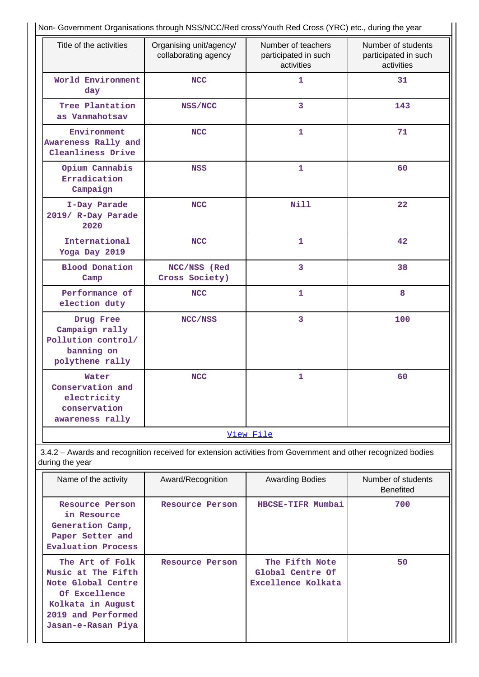| Title of the activities                                                                             | Organising unit/agency/        | Number of teachers<br>Number of students                                                                     |                                        |  |  |
|-----------------------------------------------------------------------------------------------------|--------------------------------|--------------------------------------------------------------------------------------------------------------|----------------------------------------|--|--|
|                                                                                                     | collaborating agency           | participated in such<br>activities                                                                           | participated in such<br>activities     |  |  |
| World Environment<br>day                                                                            | <b>NCC</b>                     | $\mathbf{1}$                                                                                                 | 31                                     |  |  |
| Tree Plantation<br>as Vanmahotsav                                                                   | NSS/NCC                        | 3                                                                                                            | 143                                    |  |  |
| Environment<br>Awareness Rally and<br>Cleanliness Drive                                             | <b>NCC</b>                     | 1                                                                                                            | 71                                     |  |  |
| Opium Cannabis<br>Erradication<br>Campaign                                                          | <b>NSS</b>                     | 1                                                                                                            | 60                                     |  |  |
| I-Day Parade<br>2019/ R-Day Parade<br>2020                                                          | <b>NCC</b>                     | Nill                                                                                                         | 22                                     |  |  |
| International<br>Yoga Day 2019                                                                      | <b>NCC</b>                     | $\mathbf{1}$                                                                                                 | 42                                     |  |  |
| <b>Blood Donation</b><br>Camp                                                                       | NCC/NSS (Red<br>Cross Society) | 3                                                                                                            | 38                                     |  |  |
| Performance of<br>election duty                                                                     | <b>NCC</b>                     | 1                                                                                                            |                                        |  |  |
| Drug Free<br>Campaign rally<br>Pollution control/<br>banning on<br>polythene rally                  | NCC/NSS                        | 3                                                                                                            | 100                                    |  |  |
| Water<br>Conservation and<br>electricity<br>conservation<br>awareness rally                         | <b>NCC</b>                     | 1                                                                                                            | 60                                     |  |  |
|                                                                                                     |                                | View File                                                                                                    |                                        |  |  |
| during the year                                                                                     |                                | 3.4.2 - Awards and recognition received for extension activities from Government and other recognized bodies |                                        |  |  |
| Name of the activity                                                                                | Award/Recognition              | <b>Awarding Bodies</b>                                                                                       | Number of students<br><b>Benefited</b> |  |  |
| Resource Person<br>in Resource<br>Generation Camp,<br>Paper Setter and<br><b>Evaluation Process</b> | Resource Person                | HBCSE-TIFR Mumbai                                                                                            | 700                                    |  |  |
| The Art of Folk<br>Music at The Fifth<br>Note Global Centre                                         | Resource Person                | The Fifth Note<br>Global Centre Of<br>Excellence Kolkata                                                     | 50                                     |  |  |

**Of Excellence Kolkata in August 2019 and Performed Jasan-e-Rasan Piya**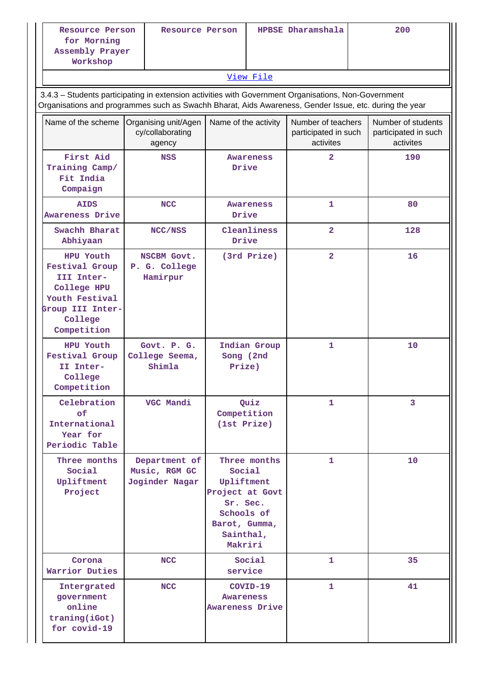| Resource Person<br>for Morning<br>Assembly Prayer<br>Workshop                                                                                                                                                  | Resource Person                                    |                                                                                                                            | HPBSE Dharamshala |                                                         |  | 200                     |  |    |  |  |
|----------------------------------------------------------------------------------------------------------------------------------------------------------------------------------------------------------------|----------------------------------------------------|----------------------------------------------------------------------------------------------------------------------------|-------------------|---------------------------------------------------------|--|-------------------------|--|----|--|--|
|                                                                                                                                                                                                                |                                                    |                                                                                                                            | View File         |                                                         |  |                         |  |    |  |  |
| 3.4.3 - Students participating in extension activities with Government Organisations, Non-Government<br>Organisations and programmes such as Swachh Bharat, Aids Awareness, Gender Issue, etc. during the year |                                                    |                                                                                                                            |                   |                                                         |  |                         |  |    |  |  |
| Name of the scheme                                                                                                                                                                                             | Organising unit/Agen<br>cy/collaborating<br>agency | Number of teachers<br>participated in such<br>activites                                                                    |                   | Number of students<br>participated in such<br>activites |  |                         |  |    |  |  |
| First Aid<br>Training Camp/<br>Fit India<br>Compaign                                                                                                                                                           | <b>NSS</b>                                         | Drive                                                                                                                      | <b>Awareness</b>  | $\overline{2}$                                          |  | 190                     |  |    |  |  |
| <b>AIDS</b><br><b>Awareness Drive</b>                                                                                                                                                                          | <b>NCC</b>                                         | Drive                                                                                                                      | <b>Awareness</b>  | 1                                                       |  | 80                      |  |    |  |  |
| Swachh Bharat<br>Abhiyaan                                                                                                                                                                                      | NCC/NSS                                            | Drive                                                                                                                      | Cleanliness       | $\overline{2}$                                          |  | 128                     |  |    |  |  |
| HPU Youth<br><b>Festival Group</b><br>III Inter-<br>College HPU<br>Youth Festival<br>Group III Inter-<br>College<br>Competition                                                                                | NSCBM Govt.<br>P. G. College<br>Hamirpur           | (3rd Prize)                                                                                                                |                   |                                                         |  | $\overline{\mathbf{2}}$ |  | 16 |  |  |
| HPU Youth<br><b>Festival Group</b><br>II Inter-<br>College<br>Competition                                                                                                                                      | Govt. P. G.<br>College Seema,<br>Shimla            | Song (2nd<br>Prize)                                                                                                        | Indian Group      | $\mathbf{1}$                                            |  | 10                      |  |    |  |  |
| Celebration<br>of<br>International<br>Year for<br>Periodic Table                                                                                                                                               | VGC Mandi                                          | Competition<br>(1st Prize)                                                                                                 | Quiz              | 1                                                       |  | 3                       |  |    |  |  |
| Three months<br>Social<br>Upliftment<br>Project                                                                                                                                                                | Department of<br>Music, RGM GC<br>Joginder Nagar   | Three months<br>Social<br>Upliftment<br>Project at Govt<br>Sr. Sec.<br>Schools of<br>Barot, Gumma,<br>Sainthal,<br>Makriri |                   | 1                                                       |  | 10                      |  |    |  |  |
| Corona<br>Warrior Duties                                                                                                                                                                                       | <b>NCC</b>                                         | service                                                                                                                    | Social            | 1                                                       |  | 35                      |  |    |  |  |
| Intergrated<br>government<br>online<br>traning(iGot)<br>for covid-19                                                                                                                                           | <b>NCC</b>                                         | Awareness<br><b>Awareness Drive</b>                                                                                        | COVID-19          | 1                                                       |  | 41                      |  |    |  |  |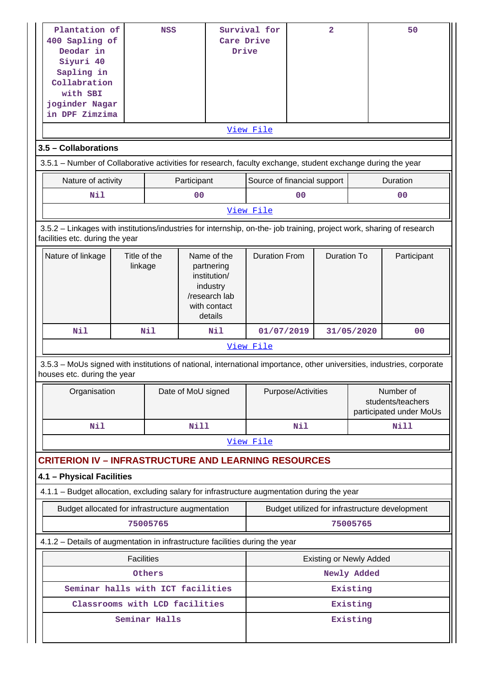| Deodar in<br>Siyuri 40<br>Sapling in<br>with SBI                                                                                                         | Plantation of<br><b>NSS</b><br>400 Sapling of<br>Collabration<br>joginder Nagar<br>in DPF Zimzima |               | Care Drive<br>Drive | Survival for<br>View File                                                                         |                             | $\overline{a}$ |                                | 50                                                        |                                                |  |
|----------------------------------------------------------------------------------------------------------------------------------------------------------|---------------------------------------------------------------------------------------------------|---------------|---------------------|---------------------------------------------------------------------------------------------------|-----------------------------|----------------|--------------------------------|-----------------------------------------------------------|------------------------------------------------|--|
| 3.5 - Collaborations                                                                                                                                     |                                                                                                   |               |                     |                                                                                                   |                             |                |                                |                                                           |                                                |  |
| 3.5.1 - Number of Collaborative activities for research, faculty exchange, student exchange during the year                                              |                                                                                                   |               |                     |                                                                                                   |                             |                |                                |                                                           |                                                |  |
| Nature of activity                                                                                                                                       |                                                                                                   |               | Participant         |                                                                                                   | Source of financial support |                |                                |                                                           | Duration                                       |  |
| Nil                                                                                                                                                      |                                                                                                   |               | 0 <sub>0</sub>      |                                                                                                   |                             | 0 <sub>0</sub> |                                |                                                           | 0 <sup>0</sup>                                 |  |
|                                                                                                                                                          |                                                                                                   |               |                     |                                                                                                   | View File                   |                |                                |                                                           |                                                |  |
| 3.5.2 - Linkages with institutions/industries for internship, on-the- job training, project work, sharing of research<br>facilities etc. during the year |                                                                                                   |               |                     |                                                                                                   |                             |                |                                |                                                           |                                                |  |
| Nature of linkage                                                                                                                                        | Title of the<br>linkage                                                                           |               |                     | Name of the<br>partnering<br>institution/<br>industry<br>/research lab<br>with contact<br>details | <b>Duration From</b>        |                | <b>Duration To</b>             |                                                           | Participant                                    |  |
| Nil                                                                                                                                                      |                                                                                                   | Nil           |                     | Nil                                                                                               | 01/07/2019                  |                |                                | 31/05/2020                                                | 0 <sub>0</sub>                                 |  |
|                                                                                                                                                          |                                                                                                   |               |                     |                                                                                                   | View File                   |                |                                |                                                           |                                                |  |
| 3.5.3 - MoUs signed with institutions of national, international importance, other universities, industries, corporate<br>houses etc. during the year    |                                                                                                   |               |                     |                                                                                                   |                             |                |                                |                                                           |                                                |  |
| Organisation                                                                                                                                             |                                                                                                   |               | Date of MoU signed  |                                                                                                   | Purpose/Activities          |                |                                | Number of<br>students/teachers<br>participated under MoUs |                                                |  |
| Nil                                                                                                                                                      |                                                                                                   |               | Nill                |                                                                                                   |                             | Nil            |                                |                                                           | <b>Nill</b>                                    |  |
|                                                                                                                                                          |                                                                                                   |               |                     |                                                                                                   | View File                   |                |                                |                                                           |                                                |  |
| <b>CRITERION IV - INFRASTRUCTURE AND LEARNING RESOURCES</b>                                                                                              |                                                                                                   |               |                     |                                                                                                   |                             |                |                                |                                                           |                                                |  |
| 4.1 - Physical Facilities                                                                                                                                |                                                                                                   |               |                     |                                                                                                   |                             |                |                                |                                                           |                                                |  |
| 4.1.1 – Budget allocation, excluding salary for infrastructure augmentation during the year                                                              |                                                                                                   |               |                     |                                                                                                   |                             |                |                                |                                                           |                                                |  |
| Budget allocated for infrastructure augmentation                                                                                                         |                                                                                                   | 75005765      |                     |                                                                                                   |                             |                |                                | 75005765                                                  | Budget utilized for infrastructure development |  |
| 4.1.2 - Details of augmentation in infrastructure facilities during the year                                                                             |                                                                                                   |               |                     |                                                                                                   |                             |                |                                |                                                           |                                                |  |
|                                                                                                                                                          | <b>Facilities</b>                                                                                 |               |                     |                                                                                                   |                             |                | <b>Existing or Newly Added</b> |                                                           |                                                |  |
|                                                                                                                                                          |                                                                                                   | Others        |                     |                                                                                                   |                             |                |                                | Newly Added                                               |                                                |  |
| Seminar halls with ICT facilities                                                                                                                        |                                                                                                   |               |                     |                                                                                                   |                             |                |                                | Existing                                                  |                                                |  |
| Classrooms with LCD facilities                                                                                                                           |                                                                                                   |               |                     |                                                                                                   |                             |                |                                | Existing                                                  |                                                |  |
|                                                                                                                                                          |                                                                                                   | Seminar Halls |                     |                                                                                                   |                             |                |                                | Existing                                                  |                                                |  |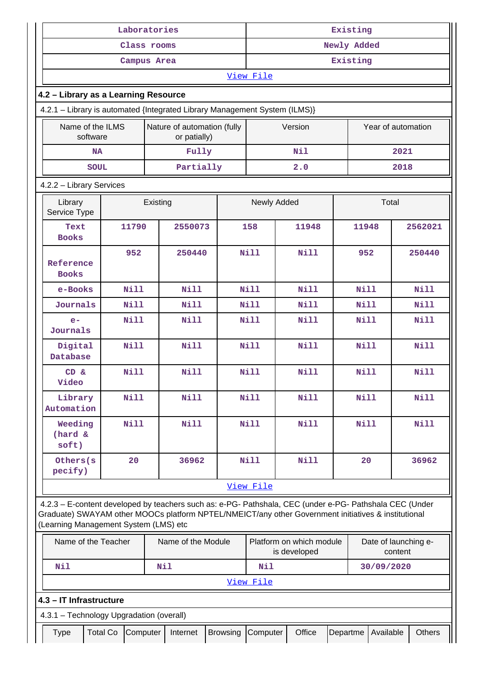| Laboratories                                                                                                                                                                                                                                            |                                                                                                              |             |          |                    | Existing        |             |                                          |          |             |                                 |             |
|---------------------------------------------------------------------------------------------------------------------------------------------------------------------------------------------------------------------------------------------------------|--------------------------------------------------------------------------------------------------------------|-------------|----------|--------------------|-----------------|-------------|------------------------------------------|----------|-------------|---------------------------------|-------------|
| Class rooms                                                                                                                                                                                                                                             |                                                                                                              |             |          | Newly Added        |                 |             |                                          |          |             |                                 |             |
| Campus Area                                                                                                                                                                                                                                             |                                                                                                              |             |          |                    | Existing        |             |                                          |          |             |                                 |             |
| View File                                                                                                                                                                                                                                               |                                                                                                              |             |          |                    |                 |             |                                          |          |             |                                 |             |
| 4.2 - Library as a Learning Resource                                                                                                                                                                                                                    |                                                                                                              |             |          |                    |                 |             |                                          |          |             |                                 |             |
|                                                                                                                                                                                                                                                         | 4.2.1 - Library is automated {Integrated Library Management System (ILMS)}                                   |             |          |                    |                 |             |                                          |          |             |                                 |             |
|                                                                                                                                                                                                                                                         | Name of the ILMS<br>Nature of automation (fully<br>Year of automation<br>Version<br>software<br>or patially) |             |          |                    |                 |             |                                          |          |             |                                 |             |
| <b>NA</b>                                                                                                                                                                                                                                               |                                                                                                              |             |          | Fully              |                 |             | Nil                                      |          |             | 2021                            |             |
| <b>SOUL</b>                                                                                                                                                                                                                                             |                                                                                                              |             |          | Partially          |                 |             | 2.0                                      |          |             | 2018                            |             |
| 4.2.2 - Library Services                                                                                                                                                                                                                                |                                                                                                              |             |          |                    |                 |             |                                          |          |             |                                 |             |
| Library<br>Service Type                                                                                                                                                                                                                                 |                                                                                                              |             | Existing |                    |                 | Newly Added |                                          |          |             | Total                           |             |
| Text<br><b>Books</b>                                                                                                                                                                                                                                    |                                                                                                              | 11790       |          | 2550073            |                 | 158         | 11948                                    |          | 11948       |                                 | 2562021     |
| Reference<br><b>Books</b>                                                                                                                                                                                                                               |                                                                                                              | 952         |          | 250440             |                 | <b>Nill</b> | Nill                                     |          | 952         |                                 | 250440      |
| e-Books                                                                                                                                                                                                                                                 |                                                                                                              | <b>Nill</b> |          | <b>Nill</b>        |                 | <b>Nill</b> | <b>Nill</b>                              |          | <b>Nill</b> |                                 | <b>Nill</b> |
| Journals                                                                                                                                                                                                                                                |                                                                                                              | <b>Nill</b> |          | <b>Nill</b>        |                 | <b>Nill</b> | <b>Nill</b>                              |          | <b>Nill</b> |                                 | <b>Nill</b> |
| $e-$<br>Journals                                                                                                                                                                                                                                        |                                                                                                              | <b>Nill</b> |          | <b>Nill</b>        |                 | <b>Nill</b> | <b>Nill</b>                              |          | <b>Nill</b> |                                 | <b>Nill</b> |
| Digital<br>Database                                                                                                                                                                                                                                     |                                                                                                              | <b>Nill</b> |          | <b>Nill</b>        |                 | <b>Nill</b> | <b>Nill</b>                              |          | <b>Nill</b> |                                 | <b>Nill</b> |
| CD &<br>Video                                                                                                                                                                                                                                           |                                                                                                              | Nill        |          | Nill               |                 | <b>Nill</b> | <b>Nill</b>                              |          | Nill        |                                 | Nill        |
| Library<br>Automation                                                                                                                                                                                                                                   |                                                                                                              | <b>Nill</b> |          | <b>Nill</b>        |                 | <b>Nill</b> | <b>Nill</b>                              |          | Nill        |                                 | Nill        |
| Weeding<br>(hard &<br>soft)                                                                                                                                                                                                                             |                                                                                                              | Nill        |          | <b>Nill</b>        |                 | <b>Nill</b> | Nill                                     |          | <b>Nill</b> |                                 | <b>Nill</b> |
| Others (s<br>pecify)                                                                                                                                                                                                                                    |                                                                                                              | 20          |          | 36962              |                 | <b>Nill</b> | Nill                                     |          | 20          |                                 | 36962       |
|                                                                                                                                                                                                                                                         |                                                                                                              |             |          |                    |                 | View File   |                                          |          |             |                                 |             |
| 4.2.3 - E-content developed by teachers such as: e-PG- Pathshala, CEC (under e-PG- Pathshala CEC (Under<br>Graduate) SWAYAM other MOOCs platform NPTEL/NMEICT/any other Government initiatives & institutional<br>(Learning Management System (LMS) etc |                                                                                                              |             |          |                    |                 |             |                                          |          |             |                                 |             |
| Name of the Teacher                                                                                                                                                                                                                                     |                                                                                                              |             |          | Name of the Module |                 |             | Platform on which module<br>is developed |          |             | Date of launching e-<br>content |             |
| Nil                                                                                                                                                                                                                                                     |                                                                                                              |             | Nil      |                    |                 | Nil         |                                          |          |             | 30/09/2020                      |             |
|                                                                                                                                                                                                                                                         |                                                                                                              |             |          |                    |                 | View File   |                                          |          |             |                                 |             |
| 4.3 - IT Infrastructure                                                                                                                                                                                                                                 |                                                                                                              |             |          |                    |                 |             |                                          |          |             |                                 |             |
| 4.3.1 - Technology Upgradation (overall)                                                                                                                                                                                                                |                                                                                                              |             |          |                    |                 |             |                                          |          |             |                                 |             |
| Type                                                                                                                                                                                                                                                    | <b>Total Co</b>                                                                                              | Computer    |          | Internet           | <b>Browsing</b> | Computer    | Office                                   | Departme |             | Available                       | Others      |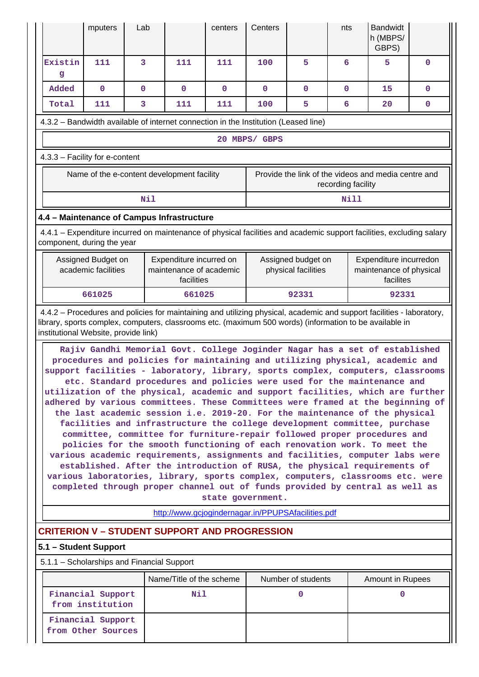|                                                                                                                                                                                                                                                                                                                                                                                                                                                                                                                                                                                                                                                                                                                                                                                                                                                                                                                                                                                                                                                                                                                                                                                                                  | mputers                                                                             | Lab         |                                                                  | centers      | Centers                                            |                                           | nts                | <b>Bandwidt</b><br>h (MBPS/<br>GBPS)                           |              |  |  |  |
|------------------------------------------------------------------------------------------------------------------------------------------------------------------------------------------------------------------------------------------------------------------------------------------------------------------------------------------------------------------------------------------------------------------------------------------------------------------------------------------------------------------------------------------------------------------------------------------------------------------------------------------------------------------------------------------------------------------------------------------------------------------------------------------------------------------------------------------------------------------------------------------------------------------------------------------------------------------------------------------------------------------------------------------------------------------------------------------------------------------------------------------------------------------------------------------------------------------|-------------------------------------------------------------------------------------|-------------|------------------------------------------------------------------|--------------|----------------------------------------------------|-------------------------------------------|--------------------|----------------------------------------------------------------|--------------|--|--|--|
| Existin<br>g                                                                                                                                                                                                                                                                                                                                                                                                                                                                                                                                                                                                                                                                                                                                                                                                                                                                                                                                                                                                                                                                                                                                                                                                     | 111                                                                                 | 3           | 111                                                              | 111          | 100                                                | 5                                         | 6                  | 5                                                              | $\mathbf{0}$ |  |  |  |
| Added                                                                                                                                                                                                                                                                                                                                                                                                                                                                                                                                                                                                                                                                                                                                                                                                                                                                                                                                                                                                                                                                                                                                                                                                            | $\mathbf 0$                                                                         | $\mathbf 0$ | $\mathbf 0$                                                      | $\mathbf{0}$ | $\mathbf{0}$                                       | 0                                         | $\mathbf 0$        | 15                                                             | $\mathbf{0}$ |  |  |  |
| Total                                                                                                                                                                                                                                                                                                                                                                                                                                                                                                                                                                                                                                                                                                                                                                                                                                                                                                                                                                                                                                                                                                                                                                                                            | 111                                                                                 | 3           | 111                                                              | 111          | 100                                                | 5                                         | 6                  | 20                                                             | 0            |  |  |  |
|                                                                                                                                                                                                                                                                                                                                                                                                                                                                                                                                                                                                                                                                                                                                                                                                                                                                                                                                                                                                                                                                                                                                                                                                                  | 4.3.2 - Bandwidth available of internet connection in the Institution (Leased line) |             |                                                                  |              |                                                    |                                           |                    |                                                                |              |  |  |  |
| 20 MBPS/ GBPS                                                                                                                                                                                                                                                                                                                                                                                                                                                                                                                                                                                                                                                                                                                                                                                                                                                                                                                                                                                                                                                                                                                                                                                                    |                                                                                     |             |                                                                  |              |                                                    |                                           |                    |                                                                |              |  |  |  |
| 4.3.3 - Facility for e-content                                                                                                                                                                                                                                                                                                                                                                                                                                                                                                                                                                                                                                                                                                                                                                                                                                                                                                                                                                                                                                                                                                                                                                                   |                                                                                     |             |                                                                  |              |                                                    |                                           |                    |                                                                |              |  |  |  |
|                                                                                                                                                                                                                                                                                                                                                                                                                                                                                                                                                                                                                                                                                                                                                                                                                                                                                                                                                                                                                                                                                                                                                                                                                  | Name of the e-content development facility                                          |             |                                                                  |              |                                                    |                                           | recording facility | Provide the link of the videos and media centre and            |              |  |  |  |
|                                                                                                                                                                                                                                                                                                                                                                                                                                                                                                                                                                                                                                                                                                                                                                                                                                                                                                                                                                                                                                                                                                                                                                                                                  |                                                                                     | Nil         |                                                                  |              |                                                    |                                           | Nill               |                                                                |              |  |  |  |
| 4.4 - Maintenance of Campus Infrastructure                                                                                                                                                                                                                                                                                                                                                                                                                                                                                                                                                                                                                                                                                                                                                                                                                                                                                                                                                                                                                                                                                                                                                                       |                                                                                     |             |                                                                  |              |                                                    |                                           |                    |                                                                |              |  |  |  |
| 4.4.1 – Expenditure incurred on maintenance of physical facilities and academic support facilities, excluding salary<br>component, during the year                                                                                                                                                                                                                                                                                                                                                                                                                                                                                                                                                                                                                                                                                                                                                                                                                                                                                                                                                                                                                                                               |                                                                                     |             |                                                                  |              |                                                    |                                           |                    |                                                                |              |  |  |  |
|                                                                                                                                                                                                                                                                                                                                                                                                                                                                                                                                                                                                                                                                                                                                                                                                                                                                                                                                                                                                                                                                                                                                                                                                                  | Assigned Budget on<br>academic facilities                                           |             | Expenditure incurred on<br>maintenance of academic<br>facilities |              |                                                    | Assigned budget on<br>physical facilities |                    | Expenditure incurredon<br>maintenance of physical<br>facilites |              |  |  |  |
|                                                                                                                                                                                                                                                                                                                                                                                                                                                                                                                                                                                                                                                                                                                                                                                                                                                                                                                                                                                                                                                                                                                                                                                                                  | 661025                                                                              |             | 661025                                                           |              |                                                    | 92331                                     |                    | 92331                                                          |              |  |  |  |
| institutional Website, provide link)<br>Rajiv Gandhi Memorial Govt. College Joginder Nagar has a set of established<br>procedures and policies for maintaining and utilizing physical, academic and<br>support facilities - laboratory, library, sports complex, computers, classrooms<br>etc. Standard procedures and policies were used for the maintenance and<br>utilization of the physical, academic and support facilities, which are further<br>adhered by various committees. These Committees were framed at the beginning of<br>the last academic session i.e. 2019-20. For the maintenance of the physical<br>facilities and infrastructure the college development committee, purchase<br>committee, committee for furniture-repair followed proper procedures and<br>policies for the smooth functioning of each renovation work. To meet the<br>various academic requirements, assignments and facilities, computer labs were<br>established. After the introduction of RUSA, the physical requirements of<br>various laboratories, library, sports complex, computers, classrooms etc. were<br>completed through proper channel out of funds provided by central as well as<br>state government. |                                                                                     |             |                                                                  |              |                                                    |                                           |                    |                                                                |              |  |  |  |
|                                                                                                                                                                                                                                                                                                                                                                                                                                                                                                                                                                                                                                                                                                                                                                                                                                                                                                                                                                                                                                                                                                                                                                                                                  |                                                                                     |             |                                                                  |              | http://www.gcjogindernagar.in/PPUPSAfacilities.pdf |                                           |                    |                                                                |              |  |  |  |
| <b>CRITERION V - STUDENT SUPPORT AND PROGRESSION</b>                                                                                                                                                                                                                                                                                                                                                                                                                                                                                                                                                                                                                                                                                                                                                                                                                                                                                                                                                                                                                                                                                                                                                             |                                                                                     |             |                                                                  |              |                                                    |                                           |                    |                                                                |              |  |  |  |
| 5.1 - Student Support                                                                                                                                                                                                                                                                                                                                                                                                                                                                                                                                                                                                                                                                                                                                                                                                                                                                                                                                                                                                                                                                                                                                                                                            |                                                                                     |             |                                                                  |              |                                                    |                                           |                    |                                                                |              |  |  |  |
| 5.1.1 - Scholarships and Financial Support                                                                                                                                                                                                                                                                                                                                                                                                                                                                                                                                                                                                                                                                                                                                                                                                                                                                                                                                                                                                                                                                                                                                                                       |                                                                                     |             |                                                                  |              |                                                    |                                           |                    |                                                                |              |  |  |  |
|                                                                                                                                                                                                                                                                                                                                                                                                                                                                                                                                                                                                                                                                                                                                                                                                                                                                                                                                                                                                                                                                                                                                                                                                                  | Financial Support                                                                   |             | Name/Title of the scheme<br>Nil                                  |              |                                                    | Number of students<br>$\mathbf 0$         |                    | Amount in Rupees<br>$\mathbf{0}$                               |              |  |  |  |
|                                                                                                                                                                                                                                                                                                                                                                                                                                                                                                                                                                                                                                                                                                                                                                                                                                                                                                                                                                                                                                                                                                                                                                                                                  | from institution<br>Financial Support<br>from Other Sources                         |             |                                                                  |              |                                                    |                                           |                    |                                                                |              |  |  |  |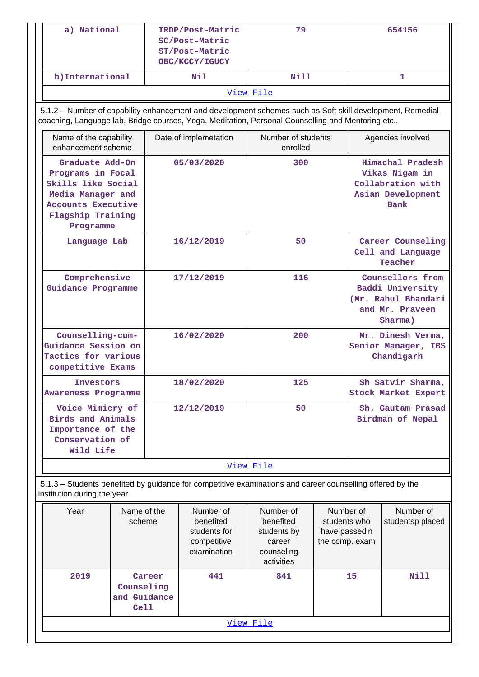| a) National<br>IRDP/Post-Matric<br>SC/Post-Matric<br>ST/Post-Matric<br>OBC/KCCY/IGUCY                                                          |  |                       | 79                                                                                                                                                                                                              |                                                                             | 654156                                                       |                                                                                           |                                                                                      |
|------------------------------------------------------------------------------------------------------------------------------------------------|--|-----------------------|-----------------------------------------------------------------------------------------------------------------------------------------------------------------------------------------------------------------|-----------------------------------------------------------------------------|--------------------------------------------------------------|-------------------------------------------------------------------------------------------|--------------------------------------------------------------------------------------|
| b) International                                                                                                                               |  |                       | Nil                                                                                                                                                                                                             | Nill                                                                        |                                                              |                                                                                           | 1                                                                                    |
|                                                                                                                                                |  |                       |                                                                                                                                                                                                                 | View File                                                                   |                                                              |                                                                                           |                                                                                      |
|                                                                                                                                                |  |                       | 5.1.2 - Number of capability enhancement and development schemes such as Soft skill development, Remedial<br>coaching, Language lab, Bridge courses, Yoga, Meditation, Personal Counselling and Mentoring etc., |                                                                             |                                                              |                                                                                           |                                                                                      |
| Name of the capability<br>enhancement scheme                                                                                                   |  | Date of implemetation |                                                                                                                                                                                                                 | Number of students<br>enrolled                                              |                                                              | Agencies involved                                                                         |                                                                                      |
| Graduate Add-On<br>Programs in Focal<br>Skills like Social<br>Media Manager and<br><b>Accounts Executive</b><br>Flagship Training<br>Programme |  | 05/03/2020            |                                                                                                                                                                                                                 | 300                                                                         |                                                              |                                                                                           | Himachal Pradesh<br>Vikas Nigam in<br>Collabration with<br>Asian Development<br>Bank |
| Language Lab                                                                                                                                   |  |                       | 16/12/2019                                                                                                                                                                                                      | 50                                                                          |                                                              | Career Counseling<br>Cell and Language<br>Teacher                                         |                                                                                      |
| Comprehensive<br>Guidance Programme                                                                                                            |  | 17/12/2019            |                                                                                                                                                                                                                 | 116                                                                         |                                                              | Counsellors from<br>Baddi University<br>(Mr. Rahul Bhandari<br>and Mr. Praveen<br>Sharma) |                                                                                      |
| Counselling-cum-<br>Guidance Session on<br>Tactics for various<br>competitive Exams                                                            |  | 16/02/2020            |                                                                                                                                                                                                                 | 200                                                                         |                                                              |                                                                                           | Mr. Dinesh Verma,<br>Senior Manager, IBS<br>Chandigarh                               |
| Investors<br><b>Awareness Programme</b>                                                                                                        |  | 18/02/2020            |                                                                                                                                                                                                                 | 125                                                                         |                                                              |                                                                                           | Sh Satvir Sharma,<br><b>Stock Market Expert</b>                                      |
| Voice Mimicry of<br>Birds and Animals<br>Importance of the<br>Conservation of<br>Wild Life                                                     |  | 12/12/2019            |                                                                                                                                                                                                                 | 50                                                                          |                                                              | Sh. Gautam Prasad<br>Birdman of Nepal                                                     |                                                                                      |
|                                                                                                                                                |  |                       |                                                                                                                                                                                                                 | View File                                                                   |                                                              |                                                                                           |                                                                                      |
| institution during the year                                                                                                                    |  |                       | 5.1.3 - Students benefited by guidance for competitive examinations and career counselling offered by the                                                                                                       |                                                                             |                                                              |                                                                                           |                                                                                      |
| Year<br>Name of the<br>scheme                                                                                                                  |  |                       | Number of<br>benefited<br>students for<br>competitive<br>examination                                                                                                                                            | Number of<br>benefited<br>students by<br>career<br>counseling<br>activities | Number of<br>students who<br>have passedin<br>the comp. exam |                                                                                           | Number of<br>studentsp placed                                                        |
| 2019<br>Career<br>Counseling<br>and Guidance<br>Ce11                                                                                           |  |                       | 441                                                                                                                                                                                                             | 841                                                                         |                                                              | 15                                                                                        | <b>Nill</b>                                                                          |
| View File                                                                                                                                      |  |                       |                                                                                                                                                                                                                 |                                                                             |                                                              |                                                                                           |                                                                                      |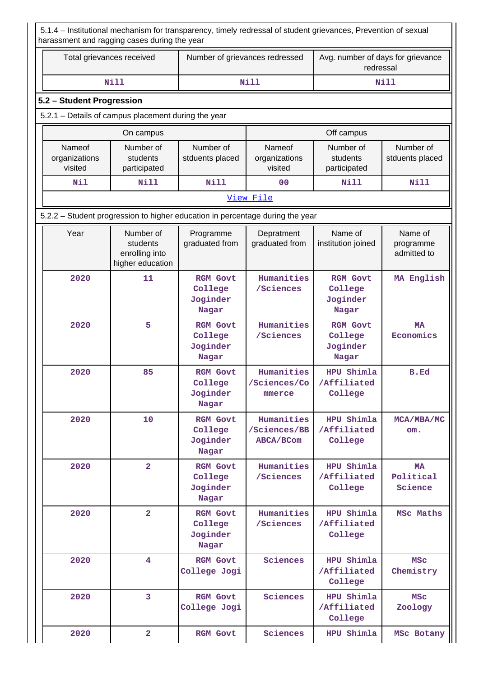5.1.4 – Institutional mechanism for transparency, timely redressal of student grievances, Prevention of sexual harassment and ragging cases during the year

| Total grievances received | Number of grievances redressed | Avg. number of days for grievance<br>redressal |
|---------------------------|--------------------------------|------------------------------------------------|
| Nill                      | Nill                           | Nill                                           |

### **5.2 – Student Progression**

### 5.2.1 – Details of campus placement during the year

|                                    | On campus                             |                              | Off campus                         |                                       |                              |  |
|------------------------------------|---------------------------------------|------------------------------|------------------------------------|---------------------------------------|------------------------------|--|
| Nameof<br>organizations<br>visited | Number of<br>students<br>participated | Number of<br>stduents placed | Nameof<br>organizations<br>visited | Number of<br>students<br>participated | Number of<br>stduents placed |  |
| Nil                                | Nill                                  | Nill                         | 0 <sub>0</sub>                     | Nill                                  | Nill                         |  |

#### [View File](https://assessmentonline.naac.gov.in/public/Postacc/Placement/10452_Placement_1622983810.xlsx)

5.2.2 – Student progression to higher education in percentage during the year

| Year | Number of<br>students<br>enrolling into<br>higher education | Programme<br>graduated from                     | Depratment<br>graduated from            | Name of<br>institution joined                   | Name of<br>programme<br>admitted to |
|------|-------------------------------------------------------------|-------------------------------------------------|-----------------------------------------|-------------------------------------------------|-------------------------------------|
| 2020 | 11                                                          | <b>RGM Govt</b><br>College<br>Joginder<br>Nagar | Humanities<br>/Sciences                 | <b>RGM Govt</b><br>College<br>Joginder<br>Nagar | MA English                          |
| 2020 | 5                                                           | <b>RGM Govt</b><br>College<br>Joginder<br>Nagar | Humanities<br>/Sciences                 | <b>RGM Govt</b><br>College<br>Joginder<br>Nagar | <b>MA</b><br>Economics              |
| 2020 | 85                                                          | <b>RGM Govt</b><br>College<br>Joginder<br>Nagar | Humanities<br>/Sciences/Co<br>mmerce    | HPU Shimla<br>/Affiliated<br>College            | B.Ed                                |
| 2020 | 10                                                          | <b>RGM Govt</b><br>College<br>Joginder<br>Nagar | Humanities<br>/Sciences/BB<br>ABCA/BCom | HPU Shimla<br>/Affiliated<br>College            | MCA/MBA/MC<br>om.                   |
| 2020 | $\overline{2}$                                              | <b>RGM Govt</b><br>College<br>Joginder<br>Nagar | Humanities<br>/Sciences                 | HPU Shimla<br>/Affiliated<br>College            | <b>MA</b><br>Political<br>Science   |
| 2020 | $\overline{2}$                                              | <b>RGM Govt</b><br>College<br>Joginder<br>Nagar | Humanities<br>/Sciences                 | HPU Shimla<br>/Affiliated<br>College            | MSc Maths                           |
| 2020 | 4                                                           | <b>RGM Govt</b><br>College Jogi                 | Sciences                                | HPU Shimla<br>/Affiliated<br>College            | <b>MSC</b><br>Chemistry             |
| 2020 | $\overline{3}$                                              | <b>RGM Govt</b><br>College Jogi                 | Sciences                                | HPU Shimla<br>/Affiliated<br>College            | <b>MSC</b><br>Zoology               |
| 2020 | $\overline{a}$                                              | <b>RGM Govt</b>                                 | Sciences                                | HPU Shimla                                      | MSc Botany                          |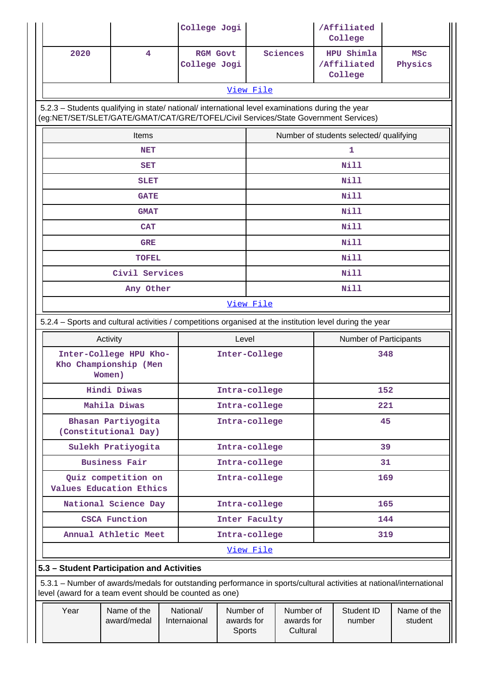|                                                                                                                                                                                        |                                                           | College Jogi              |                 |                      |                                     |     | /Affiliated<br>College               |                        |
|----------------------------------------------------------------------------------------------------------------------------------------------------------------------------------------|-----------------------------------------------------------|---------------------------|-----------------|----------------------|-------------------------------------|-----|--------------------------------------|------------------------|
| 2020                                                                                                                                                                                   | 4                                                         | College Jogi              | <b>RGM Govt</b> |                      | Sciences                            |     | HPU Shimla<br>/Affiliated<br>College | <b>MSC</b><br>Physics  |
|                                                                                                                                                                                        |                                                           |                           |                 | View File            |                                     |     |                                      |                        |
| 5.2.3 - Students qualifying in state/ national/ international level examinations during the year<br>(eg:NET/SET/SLET/GATE/GMAT/CAT/GRE/TOFEL/Civil Services/State Government Services) |                                                           |                           |                 |                      |                                     |     |                                      |                        |
| Number of students selected/ qualifying<br>Items                                                                                                                                       |                                                           |                           |                 |                      |                                     |     |                                      |                        |
|                                                                                                                                                                                        | <b>NET</b>                                                |                           |                 |                      |                                     |     | 1                                    |                        |
|                                                                                                                                                                                        | <b>SET</b>                                                |                           |                 |                      |                                     |     | <b>Nill</b>                          |                        |
|                                                                                                                                                                                        | <b>SLET</b>                                               |                           |                 |                      |                                     |     | Nill                                 |                        |
|                                                                                                                                                                                        | <b>GATE</b>                                               |                           |                 |                      |                                     |     | <b>Nill</b>                          |                        |
|                                                                                                                                                                                        | <b>GMAT</b>                                               |                           |                 |                      |                                     |     | <b>Nill</b>                          |                        |
|                                                                                                                                                                                        | <b>CAT</b>                                                |                           |                 |                      |                                     |     | Nill                                 |                        |
|                                                                                                                                                                                        | <b>GRE</b>                                                |                           |                 |                      |                                     |     | <b>Nill</b>                          |                        |
|                                                                                                                                                                                        | <b>TOFEL</b>                                              |                           |                 |                      |                                     |     | Nill                                 |                        |
|                                                                                                                                                                                        | Civil Services                                            |                           |                 | Nill                 |                                     |     |                                      |                        |
| Any Other                                                                                                                                                                              |                                                           |                           |                 |                      |                                     |     | Nill                                 |                        |
|                                                                                                                                                                                        |                                                           |                           |                 | View File            |                                     |     |                                      |                        |
| 5.2.4 – Sports and cultural activities / competitions organised at the institution level during the year                                                                               |                                                           |                           |                 |                      |                                     |     |                                      |                        |
|                                                                                                                                                                                        | Activity                                                  |                           | Level           |                      |                                     |     | Number of Participants               |                        |
|                                                                                                                                                                                        | Inter-College HPU Kho-<br>Kho Championship (Men<br>Women) |                           | Inter-College   |                      |                                     | 348 |                                      |                        |
|                                                                                                                                                                                        | <b>Hindi Diwas</b>                                        |                           | Intra-college   |                      |                                     | 152 |                                      |                        |
|                                                                                                                                                                                        | Mahila Diwas                                              |                           |                 | Intra-college<br>221 |                                     |     |                                      |                        |
|                                                                                                                                                                                        | Bhasan Partiyogita<br>(Constitutional Day)                |                           |                 | Intra-college        |                                     | 45  |                                      |                        |
|                                                                                                                                                                                        | Sulekh Pratiyogita                                        |                           |                 | Intra-college        |                                     | 39  |                                      |                        |
|                                                                                                                                                                                        | <b>Business Fair</b>                                      |                           |                 | Intra-college        |                                     |     | 31                                   |                        |
|                                                                                                                                                                                        | Quiz competition on<br>Values Education Ethics            |                           |                 | Intra-college        |                                     |     | 169                                  |                        |
|                                                                                                                                                                                        | National Science Day                                      |                           |                 | Intra-college        |                                     |     | 165                                  |                        |
|                                                                                                                                                                                        | <b>CSCA Function</b>                                      |                           |                 | Inter Faculty        |                                     |     | 144                                  |                        |
|                                                                                                                                                                                        | Annual Athletic Meet                                      |                           |                 | Intra-college        |                                     |     | 319                                  |                        |
|                                                                                                                                                                                        |                                                           |                           |                 | View File            |                                     |     |                                      |                        |
| 5.3 - Student Participation and Activities                                                                                                                                             |                                                           |                           |                 |                      |                                     |     |                                      |                        |
| 5.3.1 – Number of awards/medals for outstanding performance in sports/cultural activities at national/international<br>level (award for a team event should be counted as one)         |                                                           |                           |                 |                      |                                     |     |                                      |                        |
| Year                                                                                                                                                                                   | Name of the<br>award/medal                                | National/<br>Internaional | awards for      | Number of<br>Sports  | Number of<br>awards for<br>Cultural |     | Student ID<br>number                 | Name of the<br>student |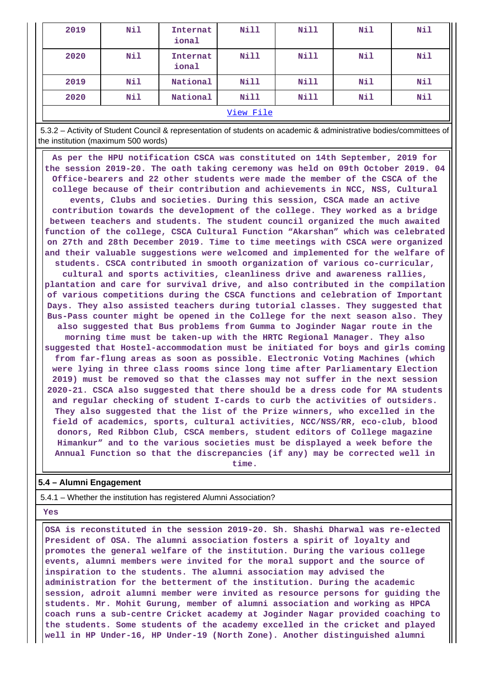| 2019 | Nil       | Internat<br>ional | Nill | <b>Nill</b> | Nil | Nil |  |  |
|------|-----------|-------------------|------|-------------|-----|-----|--|--|
| 2020 | Nil       | Internat<br>ional | Nill | <b>Nill</b> | Nil | Nil |  |  |
| 2019 | Nil       | National          | Nill | Nill        | Nil | Nil |  |  |
| 2020 | Nil       | National          | Nill | <b>Nill</b> | Nil | Nil |  |  |
|      | View File |                   |      |             |     |     |  |  |

 5.3.2 – Activity of Student Council & representation of students on academic & administrative bodies/committees of the institution (maximum 500 words)

 **As per the HPU notification CSCA was constituted on 14th September, 2019 for the session 2019-20. The oath taking ceremony was held on 09th October 2019. 04 Office-bearers and 22 other students were made the member of the CSCA of the college because of their contribution and achievements in NCC, NSS, Cultural events, Clubs and societies. During this session, CSCA made an active contribution towards the development of the college. They worked as a bridge between teachers and students. The student council organized the much awaited function of the college, CSCA Cultural Function "Akarshan" which was celebrated on 27th and 28th December 2019. Time to time meetings with CSCA were organized and their valuable suggestions were welcomed and implemented for the welfare of students. CSCA contributed in smooth organization of various co-curricular, cultural and sports activities, cleanliness drive and awareness rallies,**

**plantation and care for survival drive, and also contributed in the compilation of various competitions during the CSCA functions and celebration of Important Days. They also assisted teachers during tutorial classes. They suggested that Bus-Pass counter might be opened in the College for the next season also. They also suggested that Bus problems from Gumma to Joginder Nagar route in the morning time must be taken-up with the HRTC Regional Manager. They also suggested that Hostel-accommodation must be initiated for boys and girls coming from far-flung areas as soon as possible. Electronic Voting Machines (which were lying in three class rooms since long time after Parliamentary Election 2019) must be removed so that the classes may not suffer in the next session 2020-21. CSCA also suggested that there should be a dress code for MA students and regular checking of student I-cards to curb the activities of outsiders. They also suggested that the list of the Prize winners, who excelled in the field of academics, sports, cultural activities, NCC/NSS/RR, eco-club, blood donors, Red Ribbon Club, CSCA members, student editors of College magazine**

**Himankur" and to the various societies must be displayed a week before the Annual Function so that the discrepancies (if any) may be corrected well in time.**

### **5.4 – Alumni Engagement**

5.4.1 – Whether the institution has registered Alumni Association?

#### **Yes**

 **OSA is reconstituted in the session 2019-20. Sh. Shashi Dharwal was re-elected President of OSA. The alumni association fosters a spirit of loyalty and promotes the general welfare of the institution. During the various college events, alumni members were invited for the moral support and the source of inspiration to the students. The alumni association may advised the administration for the betterment of the institution. During the academic session, adroit alumni member were invited as resource persons for guiding the students. Mr. Mohit Gurung, member of alumni association and working as HPCA coach runs a sub-centre Cricket academy at Joginder Nagar provided coaching to the students. Some students of the academy excelled in the cricket and played well in HP Under-16, HP Under-19 (North Zone). Another distinguished alumni**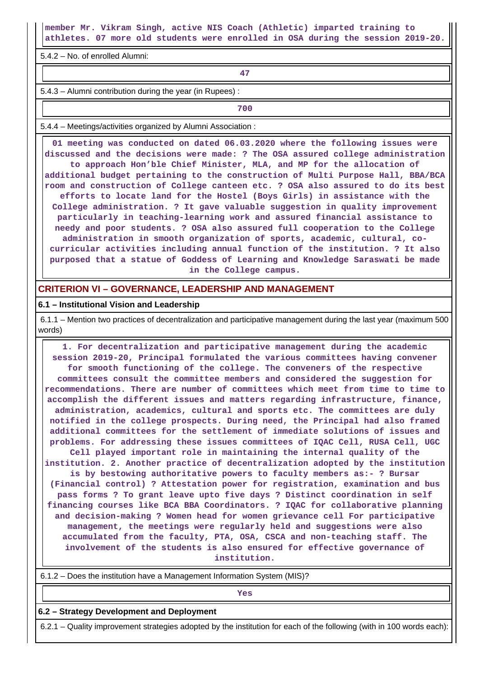**member Mr. Vikram Singh, active NIS Coach (Athletic) imparted training to athletes. 07 more old students were enrolled in OSA during the session 2019-20.**

5.4.2 – No. of enrolled Alumni:

**47**

5.4.3 – Alumni contribution during the year (in Rupees) :

**700**

5.4.4 – Meetings/activities organized by Alumni Association :

 **01 meeting was conducted on dated 06.03.2020 where the following issues were discussed and the decisions were made: ? The OSA assured college administration to approach Hon'ble Chief Minister, MLA, and MP for the allocation of additional budget pertaining to the construction of Multi Purpose Hall, BBA/BCA room and construction of College canteen etc. ? OSA also assured to do its best efforts to locate land for the Hostel (Boys Girls) in assistance with the College administration. ? It gave valuable suggestion in quality improvement particularly in teaching-learning work and assured financial assistance to needy and poor students. ? OSA also assured full cooperation to the College administration in smooth organization of sports, academic, cultural, cocurricular activities including annual function of the institution. ? It also purposed that a statue of Goddess of Learning and Knowledge Saraswati be made in the College campus.**

### **CRITERION VI – GOVERNANCE, LEADERSHIP AND MANAGEMENT**

#### **6.1 – Institutional Vision and Leadership**

 6.1.1 – Mention two practices of decentralization and participative management during the last year (maximum 500 words)

 **1. For decentralization and participative management during the academic session 2019-20, Principal formulated the various committees having convener for smooth functioning of the college. The conveners of the respective committees consult the committee members and considered the suggestion for recommendations. There are number of committees which meet from time to time to accomplish the different issues and matters regarding infrastructure, finance, administration, academics, cultural and sports etc. The committees are duly notified in the college prospects. During need, the Principal had also framed additional committees for the settlement of immediate solutions of issues and problems. For addressing these issues committees of IQAC Cell, RUSA Cell, UGC Cell played important role in maintaining the internal quality of the institution. 2. Another practice of decentralization adopted by the institution is by bestowing authoritative powers to faculty members as:- ? Bursar (Financial control) ? Attestation power for registration, examination and bus pass forms ? To grant leave upto five days ? Distinct coordination in self financing courses like BCA BBA Coordinators. ? IQAC for collaborative planning and decision-making ? Women head for women grievance cell For participative management, the meetings were regularly held and suggestions were also accumulated from the faculty, PTA, OSA, CSCA and non-teaching staff. The involvement of the students is also ensured for effective governance of institution.**

6.1.2 – Does the institution have a Management Information System (MIS)?

*Yes* 

#### **6.2 – Strategy Development and Deployment**

6.2.1 – Quality improvement strategies adopted by the institution for each of the following (with in 100 words each):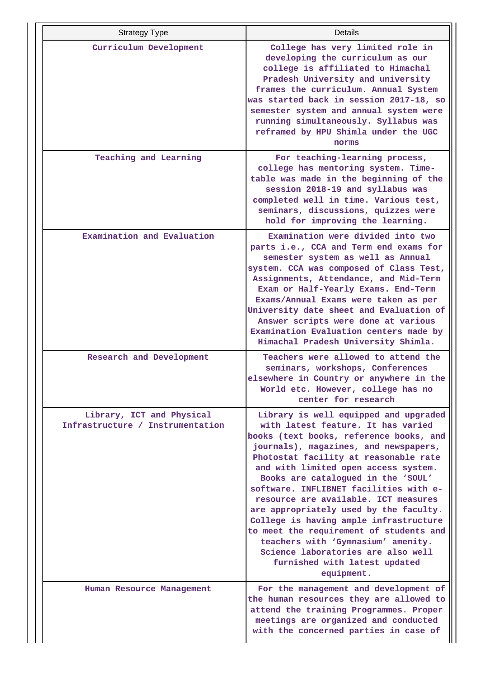| <b>Strategy Type</b>                                          | Details                                                                                                                                                                                                                                                                                                                                                                                                                                                                                                                                                                                                                            |
|---------------------------------------------------------------|------------------------------------------------------------------------------------------------------------------------------------------------------------------------------------------------------------------------------------------------------------------------------------------------------------------------------------------------------------------------------------------------------------------------------------------------------------------------------------------------------------------------------------------------------------------------------------------------------------------------------------|
| Curriculum Development                                        | College has very limited role in<br>developing the curriculum as our<br>college is affiliated to Himachal<br>Pradesh University and university<br>frames the curriculum. Annual System<br>was started back in session 2017-18, so<br>semester system and annual system were<br>running simultaneously. Syllabus was<br>reframed by HPU Shimla under the UGC<br>norms                                                                                                                                                                                                                                                               |
| Teaching and Learning                                         | For teaching-learning process,<br>college has mentoring system. Time-<br>table was made in the beginning of the<br>session 2018-19 and syllabus was<br>completed well in time. Various test,<br>seminars, discussions, quizzes were<br>hold for improving the learning.                                                                                                                                                                                                                                                                                                                                                            |
| Examination and Evaluation                                    | Examination were divided into two<br>parts i.e., CCA and Term end exams for<br>semester system as well as Annual<br>system. CCA was composed of Class Test,<br>Assignments, Attendance, and Mid-Term<br>Exam or Half-Yearly Exams. End-Term<br>Exams/Annual Exams were taken as per<br>University date sheet and Evaluation of<br>Answer scripts were done at various<br>Examination Evaluation centers made by<br>Himachal Pradesh University Shimla.                                                                                                                                                                             |
| Research and Development                                      | Teachers were allowed to attend the<br>seminars, workshops, Conferences<br>elsewhere in Country or anywhere in the<br>World etc. However, college has no<br>center for research                                                                                                                                                                                                                                                                                                                                                                                                                                                    |
| Library, ICT and Physical<br>Infrastructure / Instrumentation | Library is well equipped and upgraded<br>with latest feature. It has varied<br>books (text books, reference books, and<br>journals), magazines, and newspapers,<br>Photostat facility at reasonable rate<br>and with limited open access system.<br>Books are catalogued in the 'SOUL'<br>software. INFLIBNET facilities with e-<br>resource are available. ICT measures<br>are appropriately used by the faculty.<br>College is having ample infrastructure<br>to meet the requirement of students and<br>teachers with 'Gymnasium' amenity.<br>Science laboratories are also well<br>furnished with latest updated<br>equipment. |
| Human Resource Management                                     | For the management and development of<br>the human resources they are allowed to<br>attend the training Programmes. Proper<br>meetings are organized and conducted<br>with the concerned parties in case of                                                                                                                                                                                                                                                                                                                                                                                                                        |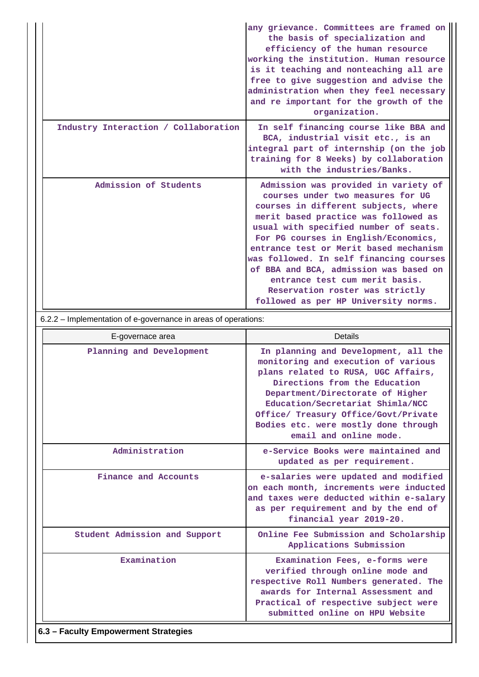|                                      | any grievance. Committees are framed on<br>the basis of specialization and<br>efficiency of the human resource<br>working the institution. Human resource<br>is it teaching and nonteaching all are<br>free to give suggestion and advise the<br>administration when they feel necessary<br>and re important for the growth of the<br>organization.                                                                                                                                    |
|--------------------------------------|----------------------------------------------------------------------------------------------------------------------------------------------------------------------------------------------------------------------------------------------------------------------------------------------------------------------------------------------------------------------------------------------------------------------------------------------------------------------------------------|
| Industry Interaction / Collaboration | In self financing course like BBA and<br>BCA, industrial visit etc., is an<br>integral part of internship (on the job<br>training for 8 Weeks) by collaboration<br>with the industries/Banks.                                                                                                                                                                                                                                                                                          |
| Admission of Students                | Admission was provided in variety of<br>courses under two measures for UG<br>courses in different subjects, where<br>merit based practice was followed as<br>usual with specified number of seats.<br>For PG courses in English/Economics,<br>entrance test or Merit based mechanism<br>was followed. In self financing courses<br>of BBA and BCA, admission was based on<br>entrance test cum merit basis.<br>Reservation roster was strictly<br>followed as per HP University norms. |

6.2.2 – Implementation of e-governance in areas of operations:

| E-governace area                     | Details                                                                                                                                                                                                                                                                                                                               |
|--------------------------------------|---------------------------------------------------------------------------------------------------------------------------------------------------------------------------------------------------------------------------------------------------------------------------------------------------------------------------------------|
| Planning and Development             | In planning and Development, all the<br>monitoring and execution of various<br>plans related to RUSA, UGC Affairs,<br>Directions from the Education<br>Department/Directorate of Higher<br>Education/Secretariat Shimla/NCC<br>Office/ Treasury Office/Govt/Private<br>Bodies etc. were mostly done through<br>email and online mode. |
| Administration                       | e-Service Books were maintained and<br>updated as per requirement.                                                                                                                                                                                                                                                                    |
| Finance and Accounts                 | e-salaries were updated and modified<br>on each month, increments were inducted<br>and taxes were deducted within e-salary<br>as per requirement and by the end of<br>financial year 2019-20.                                                                                                                                         |
| Student Admission and Support        | Online Fee Submission and Scholarship<br>Applications Submission                                                                                                                                                                                                                                                                      |
| Examination                          | Examination Fees, e-forms were<br>verified through online mode and<br>respective Roll Numbers generated. The<br>awards for Internal Assessment and<br>Practical of respective subject were<br>submitted online on HPU Website                                                                                                         |
| 6.3 - Faculty Empowerment Strategies |                                                                                                                                                                                                                                                                                                                                       |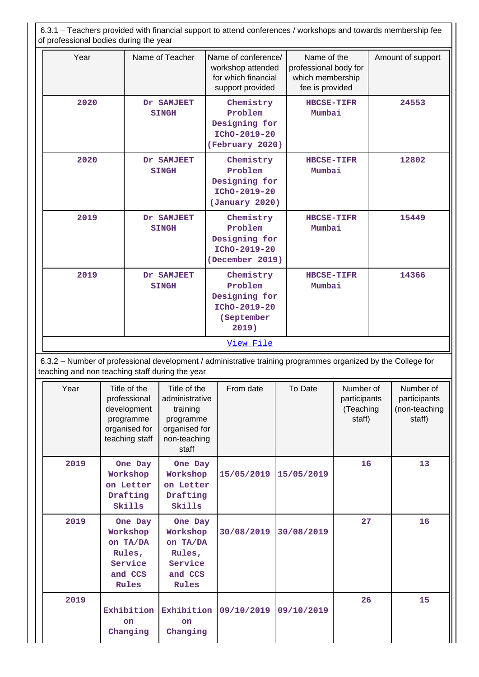6.3.1 – Teachers provided with financial support to attend conferences / workshops and towards membership fee of professional bodies during the year

| Year | Name of Teacher                                                                                                                                                 | Name of conference/<br>workshop attended<br>for which financial<br>support provided | Name of the<br>professional body for<br>which membership<br>fee is provided | Amount of support |  |  |  |  |
|------|-----------------------------------------------------------------------------------------------------------------------------------------------------------------|-------------------------------------------------------------------------------------|-----------------------------------------------------------------------------|-------------------|--|--|--|--|
| 2020 | Dr SAMJEET<br><b>SINGH</b>                                                                                                                                      | Chemistry<br>Problem<br>Designing for<br>IChO-2019-20<br>(February 2020)            | <b>HBCSE-TIFR</b><br>Mumbai                                                 | 24553             |  |  |  |  |
| 2020 | Dr SAMJEET<br><b>SINGH</b>                                                                                                                                      | Chemistry<br>Problem<br>Designing for<br>IChO-2019-20<br>(January 2020)             | <b>HBCSE-TIFR</b><br>Mumbai                                                 | 12802             |  |  |  |  |
| 2019 | Dr SAMJEET<br><b>SINGH</b>                                                                                                                                      | Chemistry<br>Problem<br>Designing for<br>IChO-2019-20<br>(December 2019)            | <b>HBCSE-TIFR</b><br>Mumbai                                                 | 15449             |  |  |  |  |
| 2019 | Dr SAMJEET<br><b>SINGH</b>                                                                                                                                      | Chemistry<br>Problem<br>Designing for<br>IChO-2019-20<br>(September<br>2019)        | <b>HBCSE-TIFR</b><br>Mumbai                                                 | 14366             |  |  |  |  |
|      |                                                                                                                                                                 | View File                                                                           |                                                                             |                   |  |  |  |  |
|      | 6.3.2 - Number of professional development / administrative training programmes organized by the College for<br>teaching and non teaching staff during the year |                                                                                     |                                                                             |                   |  |  |  |  |

| Year | Title of the<br>professional<br>development<br>programme<br>organised for<br>teaching staff | Title of the<br>administrative<br>training<br>programme<br>organised for<br>non-teaching<br>staff | From date  | To Date    | Number of<br>participants<br>(Teaching<br>staff) | Number of<br>participants<br>(non-teaching<br>staff) |
|------|---------------------------------------------------------------------------------------------|---------------------------------------------------------------------------------------------------|------------|------------|--------------------------------------------------|------------------------------------------------------|
| 2019 | One Day<br>Workshop<br>on Letter<br>Drafting<br>Skills                                      | One Day<br>Workshop<br>on Letter<br>Drafting<br>Skills                                            | 15/05/2019 | 15/05/2019 | 16                                               | 13                                                   |
| 2019 | One Day<br>Workshop<br>on TA/DA<br>Rules,<br>Service<br>and CCS<br>Rules                    | One Day<br>Workshop<br>on TA/DA<br>Rules,<br>Service<br>and CCS<br>Rules                          | 30/08/2019 | 30/08/2019 | 27                                               | 16                                                   |
| 2019 | Exhibition<br><b>on</b><br>Changing                                                         | Exhibition<br>on<br>Changing                                                                      | 09/10/2019 | 09/10/2019 | 26                                               | 15                                                   |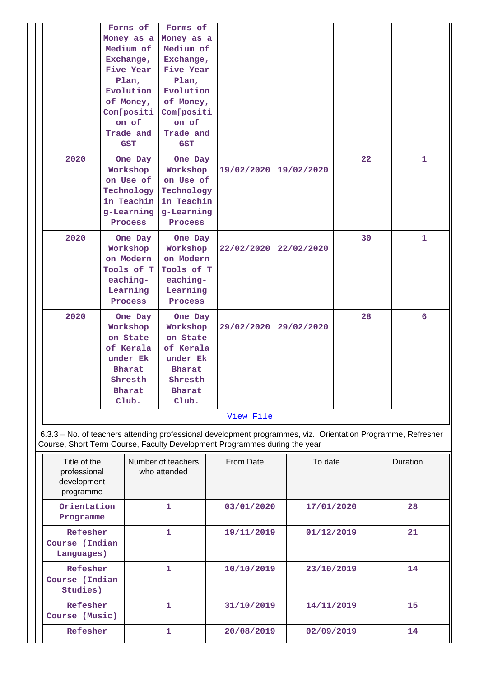|                                                                                                                                                                                            |                                                                                         | Forms of<br>Money as a<br>Medium of<br>Exchange,<br><b>Five Year</b><br>Plan,<br>Evolution<br>of Money,<br>Com[positi<br>on of<br>Trade and<br><b>GST</b> | Forms of<br>Money as a<br>Medium of<br>Exchange,<br>Five Year<br>Plan,<br>Evolution<br>of Money,<br>Com[positi<br>on of<br>Trade and<br><b>GST</b> |                          |            |            |    |              |
|--------------------------------------------------------------------------------------------------------------------------------------------------------------------------------------------|-----------------------------------------------------------------------------------------|-----------------------------------------------------------------------------------------------------------------------------------------------------------|----------------------------------------------------------------------------------------------------------------------------------------------------|--------------------------|------------|------------|----|--------------|
| 2020                                                                                                                                                                                       |                                                                                         | One Day<br>Workshop<br>on Use of<br>Technology<br>in Teachin<br>g-Learning<br>Process                                                                     | One Day<br>Workshop<br>on Use of<br>Technology<br>in Teachin<br>g-Learning<br>Process                                                              | 19/02/2020               |            | 19/02/2020 | 22 | $\mathbf{1}$ |
| 2020                                                                                                                                                                                       | One Day<br>Workshop<br>on Modern<br>Tools of T<br>eaching-<br>Learning<br>Process       |                                                                                                                                                           | One Day<br>Workshop<br>on Modern<br>Tools of T<br>eaching-<br>Learning<br>Process                                                                  | 22/02/2020               | 22/02/2020 |            | 30 | 1            |
| 2020                                                                                                                                                                                       | One Day<br>Workshop<br>on State<br>of Kerala<br>under Ek<br>Bharat<br>Shresth<br>Bharat |                                                                                                                                                           | One Day<br>Workshop<br>on State<br>of Kerala<br>under Ek<br>Bharat<br>Shresth<br><b>Bharat</b><br>Club.                                            | 29/02/2020<br>29/02/2020 |            | 28         | 6  |              |
|                                                                                                                                                                                            |                                                                                         |                                                                                                                                                           |                                                                                                                                                    | View File                |            |            |    |              |
| 6.3.3 - No. of teachers attending professional development programmes, viz., Orientation Programme, Refresher<br>Course, Short Term Course, Faculty Development Programmes during the year |                                                                                         |                                                                                                                                                           |                                                                                                                                                    |                          |            |            |    |              |
| Title of the<br>professional<br>development<br>programme                                                                                                                                   |                                                                                         |                                                                                                                                                           | Number of teachers<br>who attended                                                                                                                 | From Date                |            | To date    |    | Duration     |
| Programme                                                                                                                                                                                  | Orientation<br>1                                                                        |                                                                                                                                                           |                                                                                                                                                    | 03/01/2020               |            | 17/01/2020 |    | 28           |
|                                                                                                                                                                                            | Refesher<br>Course (Indian<br>Languages)                                                |                                                                                                                                                           | 1                                                                                                                                                  | 19/11/2019               |            | 01/12/2019 |    | 21           |
| Refesher<br>Course (Indian<br>Studies)                                                                                                                                                     |                                                                                         |                                                                                                                                                           | 1                                                                                                                                                  | 10/10/2019               |            | 23/10/2019 |    | 14           |
| Refesher<br>Course (Music)                                                                                                                                                                 |                                                                                         |                                                                                                                                                           | 1                                                                                                                                                  | 31/10/2019               |            | 14/11/2019 |    | 15           |
| Refesher                                                                                                                                                                                   |                                                                                         |                                                                                                                                                           | 1                                                                                                                                                  | 20/08/2019               |            | 02/09/2019 |    | 14           |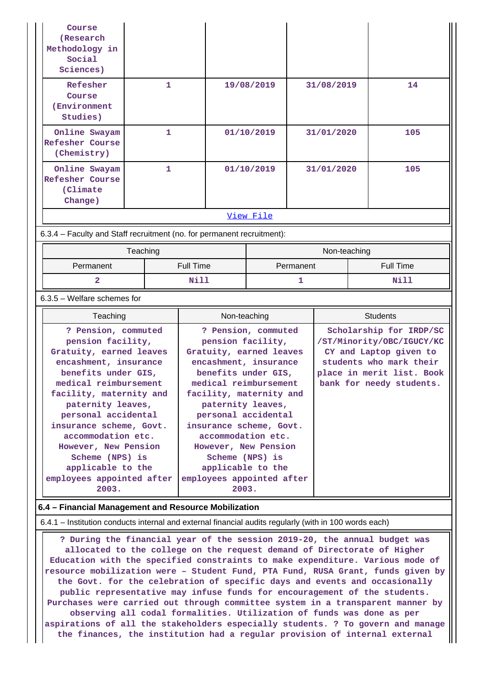| Course<br>(Research<br>Methodology in<br>Social<br>Sciences)           |              |            |            |     |  |  |  |
|------------------------------------------------------------------------|--------------|------------|------------|-----|--|--|--|
| Refesher<br>Course<br>(Environment<br>Studies)                         | 1            | 19/08/2019 | 31/08/2019 | 14  |  |  |  |
| Online Swayam<br><b>Refesher Course</b><br>(Chemistry)                 | $\mathbf{1}$ | 01/10/2019 | 31/01/2020 | 105 |  |  |  |
| Online Swayam<br><b>Refesher Course</b><br>(Climate)<br>Change)        | 1.           | 01/10/2019 | 31/01/2020 | 105 |  |  |  |
|                                                                        |              | View File  |            |     |  |  |  |
| 6.3.4 – Faculty and Staff recruitment (no. for permanent recruitment): |              |            |            |     |  |  |  |

|                        | Teaching | Non-teaching |                  |  |  |
|------------------------|----------|--------------|------------------|--|--|
| Full Time<br>Permanent |          | Permanent    | <b>Full Time</b> |  |  |
| Nill                   |          |              | Nill             |  |  |

### 6.3.5 – Welfare schemes for

| Teaching                                                                                                                                                                                                                                                                                                                                                                   | Non-teaching                                                                                                                                                                                                                                                                                                                                                               | <b>Students</b>                                                                                                                                                    |
|----------------------------------------------------------------------------------------------------------------------------------------------------------------------------------------------------------------------------------------------------------------------------------------------------------------------------------------------------------------------------|----------------------------------------------------------------------------------------------------------------------------------------------------------------------------------------------------------------------------------------------------------------------------------------------------------------------------------------------------------------------------|--------------------------------------------------------------------------------------------------------------------------------------------------------------------|
| ? Pension, commuted<br>pension facility,<br>Gratuity, earned leaves<br>encashment, insurance<br>benefits under GIS,<br>medical reimbursement<br>facility, maternity and<br>paternity leaves,<br>personal accidental<br>insurance scheme, Govt.<br>accommodation etc.<br>However, New Pension<br>Scheme (NPS) is<br>applicable to the<br>employees appointed after<br>2003. | ? Pension, commuted<br>pension facility,<br>Gratuity, earned leaves<br>encashment, insurance<br>benefits under GIS,<br>medical reimbursement<br>facility, maternity and<br>paternity leaves,<br>personal accidental<br>insurance scheme, Govt.<br>accommodation etc.<br>However, New Pension<br>Scheme (NPS) is<br>applicable to the<br>employees appointed after<br>2003. | Scholarship for IRDP/SC<br>/ST/Minority/OBC/IGUCY/KC<br>CY and Laptop given to<br>students who mark their<br>place in merit list. Book<br>bank for needy students. |

### **6.4 – Financial Management and Resource Mobilization**

6.4.1 – Institution conducts internal and external financial audits regularly (with in 100 words each)

 **? During the financial year of the session 2019-20, the annual budget was allocated to the college on the request demand of Directorate of Higher Education with the specified constraints to make expenditure. Various mode of resource mobilization were – Student Fund, PTA Fund, RUSA Grant, funds given by the Govt. for the celebration of specific days and events and occasionally public representative may infuse funds for encouragement of the students. Purchases were carried out through committee system in a transparent manner by observing all codal formalities. Utilization of funds was done as per aspirations of all the stakeholders especially students. ? To govern and manage the finances, the institution had a regular provision of internal external**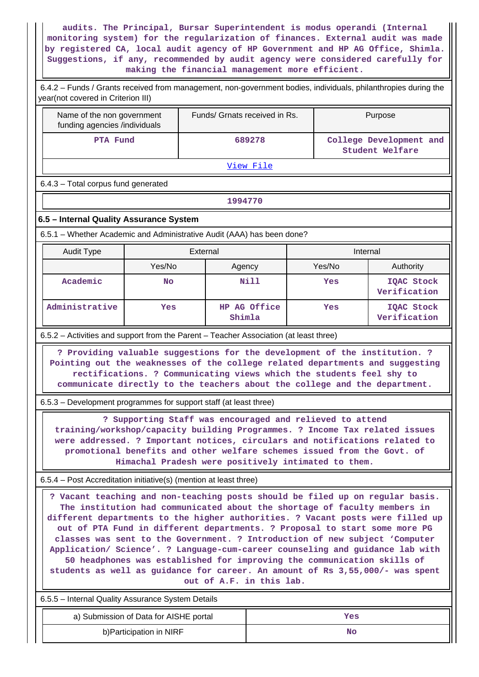**audits. The Principal, Bursar Superintendent is modus operandi (Internal monitoring system) for the regularization of finances. External audit was made by registered CA, local audit agency of HP Government and HP AG Office, Shimla. Suggestions, if any, recommended by audit agency were considered carefully for making the financial management more efficient.**

| 6.4.2 - Funds / Grants received from management, non-government bodies, individuals, philanthropies during the<br>year(not covered in Criterion III)                                                                                                                                                                                                                                                                                                                                                                                                                                                                                                                               |                                        |                               |              |                                                                                                                                                                                                                                                                                                                                                                               |                            |  |  |  |  |
|------------------------------------------------------------------------------------------------------------------------------------------------------------------------------------------------------------------------------------------------------------------------------------------------------------------------------------------------------------------------------------------------------------------------------------------------------------------------------------------------------------------------------------------------------------------------------------------------------------------------------------------------------------------------------------|----------------------------------------|-------------------------------|--------------|-------------------------------------------------------------------------------------------------------------------------------------------------------------------------------------------------------------------------------------------------------------------------------------------------------------------------------------------------------------------------------|----------------------------|--|--|--|--|
| Name of the non government<br>funding agencies /individuals                                                                                                                                                                                                                                                                                                                                                                                                                                                                                                                                                                                                                        |                                        | Funds/ Grnats received in Rs. |              |                                                                                                                                                                                                                                                                                                                                                                               | Purpose                    |  |  |  |  |
| PTA Fund                                                                                                                                                                                                                                                                                                                                                                                                                                                                                                                                                                                                                                                                           |                                        | 689278                        |              | College Development and<br><b>Student Welfare</b>                                                                                                                                                                                                                                                                                                                             |                            |  |  |  |  |
| View File                                                                                                                                                                                                                                                                                                                                                                                                                                                                                                                                                                                                                                                                          |                                        |                               |              |                                                                                                                                                                                                                                                                                                                                                                               |                            |  |  |  |  |
| 6.4.3 - Total corpus fund generated                                                                                                                                                                                                                                                                                                                                                                                                                                                                                                                                                                                                                                                |                                        |                               |              |                                                                                                                                                                                                                                                                                                                                                                               |                            |  |  |  |  |
|                                                                                                                                                                                                                                                                                                                                                                                                                                                                                                                                                                                                                                                                                    |                                        | 1994770                       |              |                                                                                                                                                                                                                                                                                                                                                                               |                            |  |  |  |  |
| 6.5 - Internal Quality Assurance System                                                                                                                                                                                                                                                                                                                                                                                                                                                                                                                                                                                                                                            |                                        |                               |              |                                                                                                                                                                                                                                                                                                                                                                               |                            |  |  |  |  |
| 6.5.1 – Whether Academic and Administrative Audit (AAA) has been done?                                                                                                                                                                                                                                                                                                                                                                                                                                                                                                                                                                                                             |                                        |                               |              |                                                                                                                                                                                                                                                                                                                                                                               |                            |  |  |  |  |
| <b>Audit Type</b>                                                                                                                                                                                                                                                                                                                                                                                                                                                                                                                                                                                                                                                                  |                                        | External                      |              | Internal                                                                                                                                                                                                                                                                                                                                                                      |                            |  |  |  |  |
|                                                                                                                                                                                                                                                                                                                                                                                                                                                                                                                                                                                                                                                                                    | Yes/No                                 | Agency                        |              | Yes/No                                                                                                                                                                                                                                                                                                                                                                        | Authority                  |  |  |  |  |
| Academic                                                                                                                                                                                                                                                                                                                                                                                                                                                                                                                                                                                                                                                                           | <b>No</b>                              |                               | <b>Nill</b>  | Yes                                                                                                                                                                                                                                                                                                                                                                           | IQAC Stock<br>Verification |  |  |  |  |
| Administrative                                                                                                                                                                                                                                                                                                                                                                                                                                                                                                                                                                                                                                                                     | Yes                                    | Shimla                        | HP AG Office | Yes                                                                                                                                                                                                                                                                                                                                                                           | IQAC Stock<br>Verification |  |  |  |  |
| 6.5.2 - Activities and support from the Parent - Teacher Association (at least three)                                                                                                                                                                                                                                                                                                                                                                                                                                                                                                                                                                                              |                                        |                               |              |                                                                                                                                                                                                                                                                                                                                                                               |                            |  |  |  |  |
| 6.5.3 – Development programmes for support staff (at least three)                                                                                                                                                                                                                                                                                                                                                                                                                                                                                                                                                                                                                  |                                        |                               |              | ? Providing valuable suggestions for the development of the institution. ?<br>Pointing out the weaknesses of the college related departments and suggesting<br>rectifications. ? Communicating views which the students feel shy to<br>communicate directly to the teachers about the college and the department.<br>? Supporting Staff was encouraged and relieved to attend |                            |  |  |  |  |
|                                                                                                                                                                                                                                                                                                                                                                                                                                                                                                                                                                                                                                                                                    |                                        |                               |              | training/workshop/capacity building Programmes. ? Income Tax related issues<br>were addressed. ? Important notices, circulars and notifications related to<br>promotional benefits and other welfare schemes issued from the Govt. of<br>Himachal Pradesh were positively intimated to them.                                                                                  |                            |  |  |  |  |
| 6.5.4 – Post Accreditation initiative(s) (mention at least three)                                                                                                                                                                                                                                                                                                                                                                                                                                                                                                                                                                                                                  |                                        |                               |              |                                                                                                                                                                                                                                                                                                                                                                               |                            |  |  |  |  |
| ? Vacant teaching and non-teaching posts should be filed up on regular basis.<br>The institution had communicated about the shortage of faculty members in<br>different departments to the higher authorities. ? Vacant posts were filled up<br>out of PTA Fund in different departments. ? Proposal to start some more PG<br>classes was sent to the Government. ? Introduction of new subject 'Computer<br>Application/ Science'. ? Language-cum-career counseling and guidance lab with<br>50 headphones was established for improving the communication skills of<br>students as well as guidance for career. An amount of Rs 3,55,000/- was spent<br>out of A.F. in this lab. |                                        |                               |              |                                                                                                                                                                                                                                                                                                                                                                               |                            |  |  |  |  |
| 6.5.5 - Internal Quality Assurance System Details                                                                                                                                                                                                                                                                                                                                                                                                                                                                                                                                                                                                                                  |                                        |                               |              |                                                                                                                                                                                                                                                                                                                                                                               |                            |  |  |  |  |
|                                                                                                                                                                                                                                                                                                                                                                                                                                                                                                                                                                                                                                                                                    | a) Submission of Data for AISHE portal |                               |              | Yes                                                                                                                                                                                                                                                                                                                                                                           |                            |  |  |  |  |
|                                                                                                                                                                                                                                                                                                                                                                                                                                                                                                                                                                                                                                                                                    | b) Participation in NIRF               |                               |              | No                                                                                                                                                                                                                                                                                                                                                                            |                            |  |  |  |  |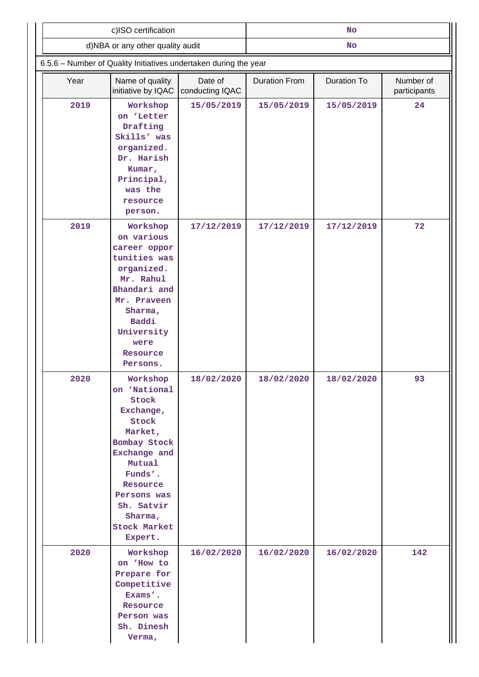|                                                                  | c)ISO certification                                                                                                                                                                                           |                            | <b>No</b>            |             |                           |  |
|------------------------------------------------------------------|---------------------------------------------------------------------------------------------------------------------------------------------------------------------------------------------------------------|----------------------------|----------------------|-------------|---------------------------|--|
|                                                                  | d)NBA or any other quality audit                                                                                                                                                                              |                            |                      | No          |                           |  |
| 6.5.6 - Number of Quality Initiatives undertaken during the year |                                                                                                                                                                                                               |                            |                      |             |                           |  |
| Year                                                             | Name of quality<br>initiative by IQAC                                                                                                                                                                         | Date of<br>conducting IQAC | <b>Duration From</b> | Duration To | Number of<br>participants |  |
| 2019                                                             | Workshop<br>on 'Letter<br>Drafting<br>Skills' was<br>organized.<br>Dr. Harish<br>Kumar,<br>Principal,<br>was the<br>resource<br>person.                                                                       | 15/05/2019                 | 15/05/2019           | 15/05/2019  | 24                        |  |
| 2019                                                             | Workshop<br>on various<br>career oppor<br>tunities was<br>organized.<br>Mr. Rahul<br>Bhandari and<br>Mr. Praveen<br>Sharma,<br>Baddi<br>University<br>were<br>Resource<br>Persons.                            | 17/12/2019                 | 17/12/2019           | 17/12/2019  | 72                        |  |
| 2020                                                             | Workshop<br>on 'National<br>Stock<br>Exchange,<br>Stock<br>Market,<br>Bombay Stock<br>Exchange and<br>Mutual<br>Funds'.<br>Resource<br>Persons was<br>Sh. Satvir<br>Sharma,<br><b>Stock Market</b><br>Expert. | 18/02/2020                 | 18/02/2020           | 18/02/2020  | 93                        |  |
| 2020                                                             | Workshop<br>on 'How to<br>Prepare for<br>Competitive<br>Exams'.<br>Resource<br>Person was<br>Sh. Dinesh<br>Verma,                                                                                             | 16/02/2020                 | 16/02/2020           | 16/02/2020  | 142                       |  |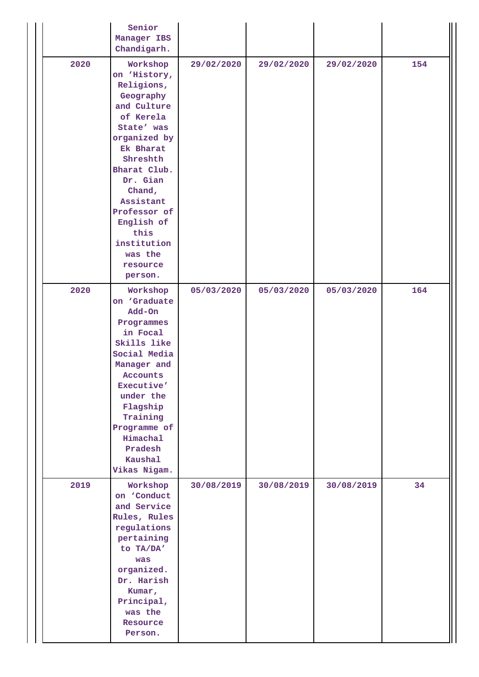|      | Senior<br>Manager IBS<br>Chandigarh.                                                                                                                                                                                                                                             |            |            |            |     |
|------|----------------------------------------------------------------------------------------------------------------------------------------------------------------------------------------------------------------------------------------------------------------------------------|------------|------------|------------|-----|
| 2020 | Workshop<br>on 'History,<br>Religions,<br>Geography<br>and Culture<br>of Kerela<br>State' was<br>organized by<br>Ek Bharat<br>Shreshth<br>Bharat Club.<br>Dr. Gian<br>Chand,<br>Assistant<br>Professor of<br>English of<br>this<br>institution<br>was the<br>resource<br>person. | 29/02/2020 | 29/02/2020 | 29/02/2020 | 154 |
| 2020 | Workshop<br>on 'Graduate<br>Add-On<br>Programmes<br>in Focal<br>Skills like<br>Social Media<br>Manager and<br><b>Accounts</b><br>Executive'<br>under the<br>Flagship<br>Training<br>Programme of<br>Himachal<br>Pradesh<br>Kaushal<br>Vikas Nigam.                               | 05/03/2020 | 05/03/2020 | 05/03/2020 | 164 |
| 2019 | Workshop<br>on 'Conduct<br>and Service<br>Rules, Rules<br>regulations<br>pertaining<br>to TA/DA'<br>was<br>organized.<br>Dr. Harish<br>Kumar,<br>Principal,<br>was the<br>Resource<br>Person.                                                                                    | 30/08/2019 | 30/08/2019 | 30/08/2019 | 34  |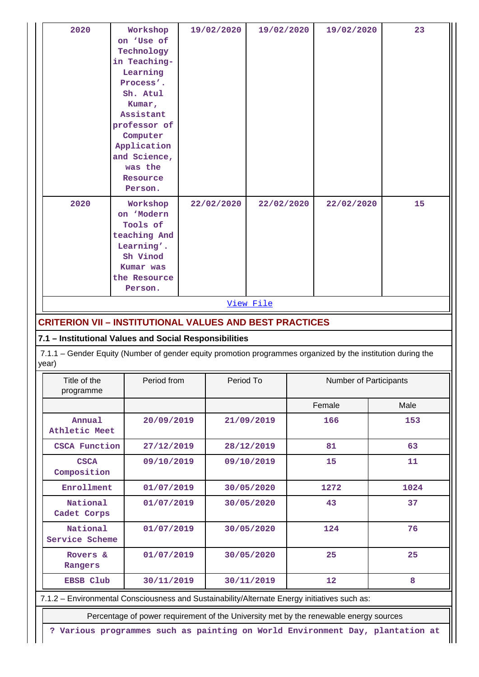| 2020                                                                                                                 | Workshop<br>on 'Use of<br>Technology<br>in Teaching-<br>Learning<br>Process'.<br>Sh. Atul<br>Kumar,<br>Assistant<br>professor of<br>Computer<br>Application<br>and Science,<br>was the<br>Resource<br>Person. | 19/02/2020 | 19/02/2020 | 19/02/2020             | 23   |
|----------------------------------------------------------------------------------------------------------------------|---------------------------------------------------------------------------------------------------------------------------------------------------------------------------------------------------------------|------------|------------|------------------------|------|
| 2020                                                                                                                 | Workshop<br>on 'Modern<br>Tools of<br>teaching And<br>Learning'.<br>Sh Vinod<br>Kumar was<br>the Resource<br>Person.                                                                                          | 22/02/2020 | 22/02/2020 | 22/02/2020             | 15   |
| <b>CRITERION VII - INSTITUTIONAL VALUES AND BEST PRACTICES</b>                                                       |                                                                                                                                                                                                               |            | View File  |                        |      |
| 7.1 - Institutional Values and Social Responsibilities                                                               |                                                                                                                                                                                                               |            |            |                        |      |
| 7.1.1 – Gender Equity (Number of gender equity promotion programmes organized by the institution during the<br>year) |                                                                                                                                                                                                               |            |            |                        |      |
| Title of the<br>programme                                                                                            | Period from                                                                                                                                                                                                   |            | Period To  | Number of Participants |      |
|                                                                                                                      |                                                                                                                                                                                                               |            |            | Female                 | Male |
| Annual<br>Athletic Meet                                                                                              | 20/09/2019                                                                                                                                                                                                    |            | 21/09/2019 | 166                    | 153  |
| <b>CSCA Function</b>                                                                                                 | 27/12/2019                                                                                                                                                                                                    |            | 28/12/2019 | 81                     | 63   |
| <b>CSCA</b><br>Composition                                                                                           | 09/10/2019                                                                                                                                                                                                    |            | 09/10/2019 | 15                     | 11   |
| Enrollment                                                                                                           | 01/07/2019                                                                                                                                                                                                    |            | 30/05/2020 | 1272                   | 1024 |
| National<br>Cadet Corps                                                                                              | 01/07/2019                                                                                                                                                                                                    |            | 30/05/2020 | 43                     | 37   |
| National<br>Service Scheme                                                                                           | 01/07/2019                                                                                                                                                                                                    |            | 30/05/2020 | 124                    | 76   |
| Rovers &<br>Rangers                                                                                                  | 01/07/2019                                                                                                                                                                                                    |            | 30/05/2020 | 25                     | 25   |
| EBSB Club                                                                                                            | 30/11/2019                                                                                                                                                                                                    |            | 30/11/2019 | 12                     | 8    |
| 7.1.2 - Environmental Consciousness and Sustainability/Alternate Energy initiatives such as:                         | Percentage of power requirement of the University met by the renewable energy sources                                                                                                                         |            |            |                        |      |

**? Various programmes such as painting on World Environment Day, plantation at**

 $\parallel$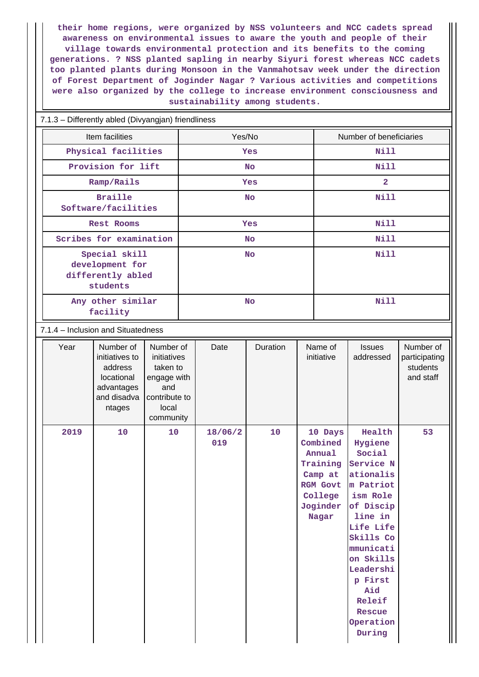**their home regions, were organized by NSS volunteers and NCC cadets spread awareness on environmental issues to aware the youth and people of their village towards environmental protection and its benefits to the coming generations. ? NSS planted sapling in nearby Siyuri forest whereas NCC cadets too planted plants during Monsoon in the Vanmahotsav week under the direction of Forest Department of Joginder Nagar ? Various activities and competitions were also organized by the college to increase environment consciousness and sustainability among students.**

### 7.1.3 – Differently abled (Divyangjan) friendliness

| Item facilities                                                   | Yes/No     | Number of beneficiaries |
|-------------------------------------------------------------------|------------|-------------------------|
| Physical facilities                                               | <b>Yes</b> | Nill                    |
| Provision for lift                                                | <b>No</b>  | Nill                    |
| Ramp/Rails                                                        | <b>Yes</b> | $\overline{a}$          |
| <b>Braille</b><br>Software/facilities                             | <b>No</b>  | Nill                    |
| Rest Rooms                                                        | <b>Yes</b> | Nill                    |
| Scribes for examination                                           | <b>No</b>  | Nill                    |
| Special skill<br>development for<br>differently abled<br>students | <b>No</b>  | Nill                    |
| Any other similar<br>facility                                     | <b>No</b>  | Nill                    |

### 7.1.4 – Inclusion and Situatedness

| Year | Number of<br>initiatives to<br>address<br>locational<br>advantages<br>and disadva<br>ntages | Number of<br>initiatives<br>taken to<br>engage with<br>and<br>contribute to<br>local<br>community | Date           | Duration | Name of<br>initiative                                                                                   | <b>Issues</b><br>addressed                                                                                                                                                                                                                  | Number of<br>participating<br>students<br>and staff |
|------|---------------------------------------------------------------------------------------------|---------------------------------------------------------------------------------------------------|----------------|----------|---------------------------------------------------------------------------------------------------------|---------------------------------------------------------------------------------------------------------------------------------------------------------------------------------------------------------------------------------------------|-----------------------------------------------------|
| 2019 | 10                                                                                          | 10                                                                                                | 18/06/2<br>019 | 10       | 10 Days<br>Combined<br>Annual<br>Training<br>Camp at<br><b>RGM Govt</b><br>College<br>Joginder<br>Nagar | Health<br>Hygiene<br>Social<br>Service N<br>ationalis<br>m Patriot<br>ism Role<br>of Discip<br>line in<br>Life Life<br>Skills Co<br>mmunicati<br>on Skills<br>Leadershi<br>p First<br>Aid<br>Releif<br><b>Rescue</b><br>Operation<br>During | 53                                                  |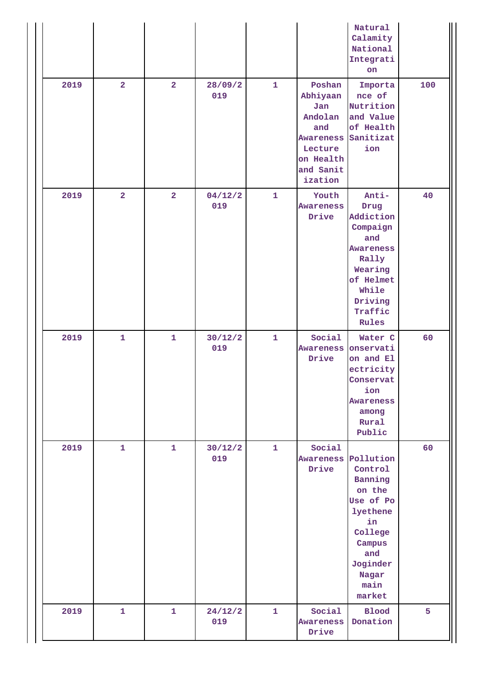| 2019 | $\overline{2}$ | $\overline{2}$ | 28/09/2        | $\mathbf{1}$ | Poshan                                                                                         | Natural<br>Calamity<br>National<br>Integrati<br>on<br>Importa                                                                                         | 100 |
|------|----------------|----------------|----------------|--------------|------------------------------------------------------------------------------------------------|-------------------------------------------------------------------------------------------------------------------------------------------------------|-----|
|      |                |                | 019            |              | Abhiyaan<br>Jan<br>Andolan<br>and<br>Awareness<br>Lecture<br>on Health<br>and Sanit<br>ization | nce of<br>Nutrition<br>and Value<br>of Health<br>Sanitizat<br>ion                                                                                     |     |
| 2019 | $\overline{2}$ | $\overline{a}$ | 04/12/2<br>019 | $\mathbf{1}$ | Youth<br><b>Awareness</b><br>Drive                                                             | Anti-<br>Drug<br>Addiction<br>Compaign<br>and<br><b>Awareness</b><br>Rally<br>Wearing<br>of Helmet<br>While<br>Driving<br>Traffic<br>Rules            | 40  |
| 2019 | $\mathbf{1}$   | $\mathbf{1}$   | 30/12/2<br>019 | $\mathbf{1}$ | Social<br>Awareness<br>Drive                                                                   | Water C<br>onservati<br>on and El<br>ectricity<br>Conservat<br>ion<br><b>Awareness</b><br>among<br>Rural<br>Public                                    | 60  |
| 2019 | $\mathbf{1}$   | $\mathbf{1}$   | 30/12/2<br>019 | $\mathbf{1}$ | Social<br>Drive                                                                                | Awareness Pollution<br>Control<br>Banning<br>on the<br>Use of Po<br>lyethene<br>in<br>College<br>Campus<br>and<br>Joginder<br>Nagar<br>main<br>market | 60  |
| 2019 | $\mathbf{1}$   | $\mathbf{1}$   | 24/12/2<br>019 | $\mathbf{1}$ | Social<br><b>Awareness</b><br>Drive                                                            | <b>Blood</b><br>Donation                                                                                                                              | 5   |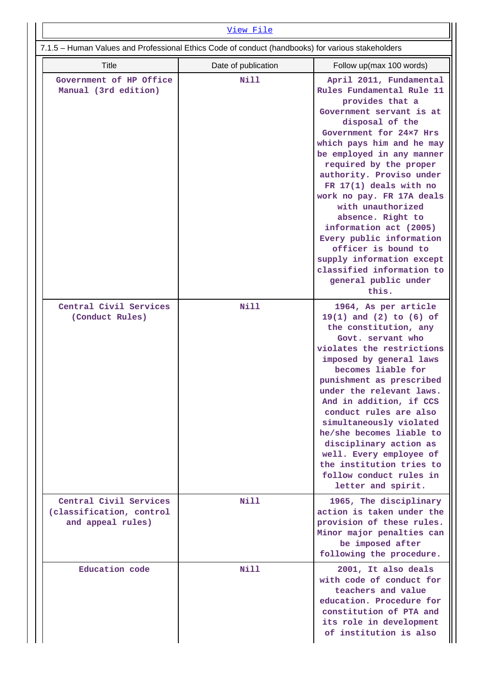| <u>View File</u>                                                                                  |                     |                                                                                                                                                                                                                                                                                                                                                                                                                                                                                                                                              |  |  |  |  |
|---------------------------------------------------------------------------------------------------|---------------------|----------------------------------------------------------------------------------------------------------------------------------------------------------------------------------------------------------------------------------------------------------------------------------------------------------------------------------------------------------------------------------------------------------------------------------------------------------------------------------------------------------------------------------------------|--|--|--|--|
| 7.1.5 - Human Values and Professional Ethics Code of conduct (handbooks) for various stakeholders |                     |                                                                                                                                                                                                                                                                                                                                                                                                                                                                                                                                              |  |  |  |  |
| Title                                                                                             | Date of publication | Follow up(max 100 words)                                                                                                                                                                                                                                                                                                                                                                                                                                                                                                                     |  |  |  |  |
| Government of HP Office<br>Manual (3rd edition)                                                   | Nill                | April 2011, Fundamental<br>Rules Fundamental Rule 11<br>provides that a<br>Government servant is at<br>disposal of the<br>Government for 24×7 Hrs<br>which pays him and he may<br>be employed in any manner<br>required by the proper<br>authority. Proviso under<br>FR $17(1)$ deals with no<br>work no pay. FR 17A deals<br>with unauthorized<br>absence. Right to<br>information act (2005)<br>Every public information<br>officer is bound to<br>supply information except<br>classified information to<br>general public under<br>this. |  |  |  |  |
| Central Civil Services<br>(Conduct Rules)                                                         | Nill                | 1964, As per article<br>$19(1)$ and $(2)$ to $(6)$ of<br>the constitution, any<br>Govt. servant who<br>violates the restrictions<br>imposed by general laws<br>becomes liable for<br>punishment as prescribed<br>under the relevant laws.<br>And in addition, if CCS<br>conduct rules are also<br>simultaneously violated<br>he/she becomes liable to<br>disciplinary action as<br>well. Every employee of<br>the institution tries to<br>follow conduct rules in<br>letter and spirit.                                                      |  |  |  |  |
| Central Civil Services<br>(classification, control<br>and appeal rules)                           | <b>Nill</b>         | 1965, The disciplinary<br>action is taken under the<br>provision of these rules.<br>Minor major penalties can<br>be imposed after<br>following the procedure.                                                                                                                                                                                                                                                                                                                                                                                |  |  |  |  |
| Education code                                                                                    | <b>Nill</b>         | 2001, It also deals<br>with code of conduct for<br>teachers and value<br>education. Procedure for<br>constitution of PTA and<br>its role in development<br>of institution is also                                                                                                                                                                                                                                                                                                                                                            |  |  |  |  |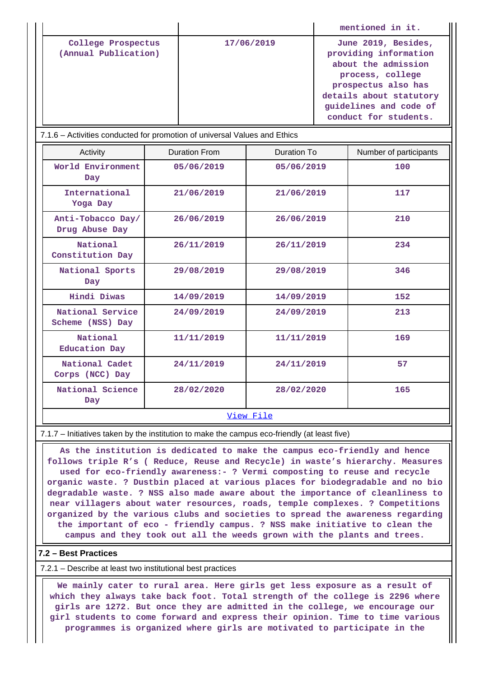|                                            |            | mentioned in it.                                                                                                                                                                             |
|--------------------------------------------|------------|----------------------------------------------------------------------------------------------------------------------------------------------------------------------------------------------|
| College Prospectus<br>(Annual Publication) | 17/06/2019 | June 2019, Besides,<br>providing information<br>about the admission<br>process, college<br>prospectus also has<br>details about statutory<br>quidelines and code of<br>conduct for students. |

| 7.1.6 – Activities conducted for promotion of universal Values and Ethics |  |  |  |
|---------------------------------------------------------------------------|--|--|--|
|                                                                           |  |  |  |

| Activity                             | Duration From | Duration To | Number of participants |  |  |
|--------------------------------------|---------------|-------------|------------------------|--|--|
| World Environment<br>Day             | 05/06/2019    | 05/06/2019  | 100                    |  |  |
| International<br>Yoga Day            | 21/06/2019    | 21/06/2019  | 117                    |  |  |
| Anti-Tobacco Day/<br>Drug Abuse Day  | 26/06/2019    | 26/06/2019  | 210                    |  |  |
| National<br>Constitution Day         | 26/11/2019    | 26/11/2019  | 234                    |  |  |
| National Sports<br>Day               | 29/08/2019    | 29/08/2019  | 346                    |  |  |
| <b>Hindi Diwas</b>                   | 14/09/2019    | 14/09/2019  | 152                    |  |  |
| National Service<br>Scheme (NSS) Day | 24/09/2019    | 24/09/2019  | 213                    |  |  |
| National<br>Education Day            | 11/11/2019    | 11/11/2019  | 169                    |  |  |
| National Cadet<br>Corps (NCC) Day    | 24/11/2019    | 24/11/2019  | 57                     |  |  |
| National Science<br>Day              | 28/02/2020    | 28/02/2020  | 165                    |  |  |
| View File                            |               |             |                        |  |  |

7.1.7 – Initiatives taken by the institution to make the campus eco-friendly (at least five)

 **As the institution is dedicated to make the campus eco-friendly and hence follows triple R's ( Reduce, Reuse and Recycle) in waste's hierarchy. Measures used for eco-friendly awareness:- ? Vermi composting to reuse and recycle organic waste. ? Dustbin placed at various places for biodegradable and no bio degradable waste. ? NSS also made aware about the importance of cleanliness to near villagers about water resources, roads, temple complexes. ? Competitions organized by the various clubs and societies to spread the awareness regarding the important of eco - friendly campus. ? NSS make initiative to clean the campus and they took out all the weeds grown with the plants and trees.**

### **7.2 – Best Practices**

7.2.1 – Describe at least two institutional best practices

 **We mainly cater to rural area. Here girls get less exposure as a result of which they always take back foot. Total strength of the college is 2296 where girls are 1272. But once they are admitted in the college, we encourage our girl students to come forward and express their opinion. Time to time various programmes is organized where girls are motivated to participate in the**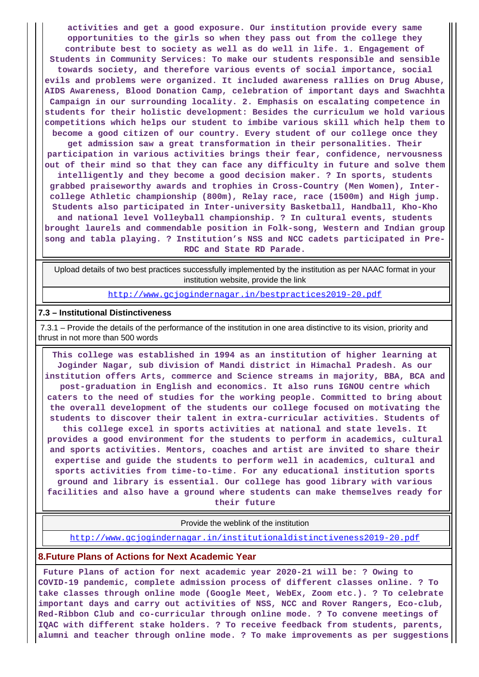**activities and get a good exposure. Our institution provide every same opportunities to the girls so when they pass out from the college they contribute best to society as well as do well in life. 1. Engagement of Students in Community Services: To make our students responsible and sensible towards society, and therefore various events of social importance, social evils and problems were organized. It included awareness rallies on Drug Abuse, AIDS Awareness, Blood Donation Camp, celebration of important days and Swachhta Campaign in our surrounding locality. 2. Emphasis on escalating competence in students for their holistic development: Besides the curriculum we hold various competitions which helps our student to imbibe various skill which help them to become a good citizen of our country. Every student of our college once they get admission saw a great transformation in their personalities. Their**

**participation in various activities brings their fear, confidence, nervousness out of their mind so that they can face any difficulty in future and solve them intelligently and they become a good decision maker. ? In sports, students grabbed praiseworthy awards and trophies in Cross-Country (Men Women), Intercollege Athletic championship (800m), Relay race, race (1500m) and High jump. Students also participated in Inter-university Basketball, Handball, Kho-Kho and national level Volleyball championship. ? In cultural events, students brought laurels and commendable position in Folk-song, Western and Indian group song and tabla playing. ? Institution's NSS and NCC cadets participated in Pre-RDC and State RD Parade.**

 Upload details of two best practices successfully implemented by the institution as per NAAC format in your institution website, provide the link

<http://www.gcjogindernagar.in/bestpractices2019-20.pdf>

#### **7.3 – Institutional Distinctiveness**

 7.3.1 – Provide the details of the performance of the institution in one area distinctive to its vision, priority and thrust in not more than 500 words

 **This college was established in 1994 as an institution of higher learning at Joginder Nagar, sub division of Mandi district in Himachal Pradesh. As our institution offers Arts, commerce and Science streams in majority, BBA, BCA and post-graduation in English and economics. It also runs IGNOU centre which caters to the need of studies for the working people. Committed to bring about the overall development of the students our college focused on motivating the students to discover their talent in extra-curricular activities. Students of this college excel in sports activities at national and state levels. It provides a good environment for the students to perform in academics, cultural and sports activities. Mentors, coaches and artist are invited to share their expertise and guide the students to perform well in academics, cultural and sports activities from time-to-time. For any educational institution sports ground and library is essential. Our college has good library with various facilities and also have a ground where students can make themselves ready for**

**their future**

Provide the weblink of the institution

<http://www.gcjogindernagar.in/institutionaldistinctiveness2019-20.pdf>

#### **8.Future Plans of Actions for Next Academic Year**

 **Future Plans of action for next academic year 2020-21 will be: ? Owing to COVID-19 pandemic, complete admission process of different classes online. ? To take classes through online mode (Google Meet, WebEx, Zoom etc.). ? To celebrate important days and carry out activities of NSS, NCC and Rover Rangers, Eco-club, Red-Ribbon Club and co-curricular through online mode. ? To convene meetings of IQAC with different stake holders. ? To receive feedback from students, parents, alumni and teacher through online mode. ? To make improvements as per suggestions**